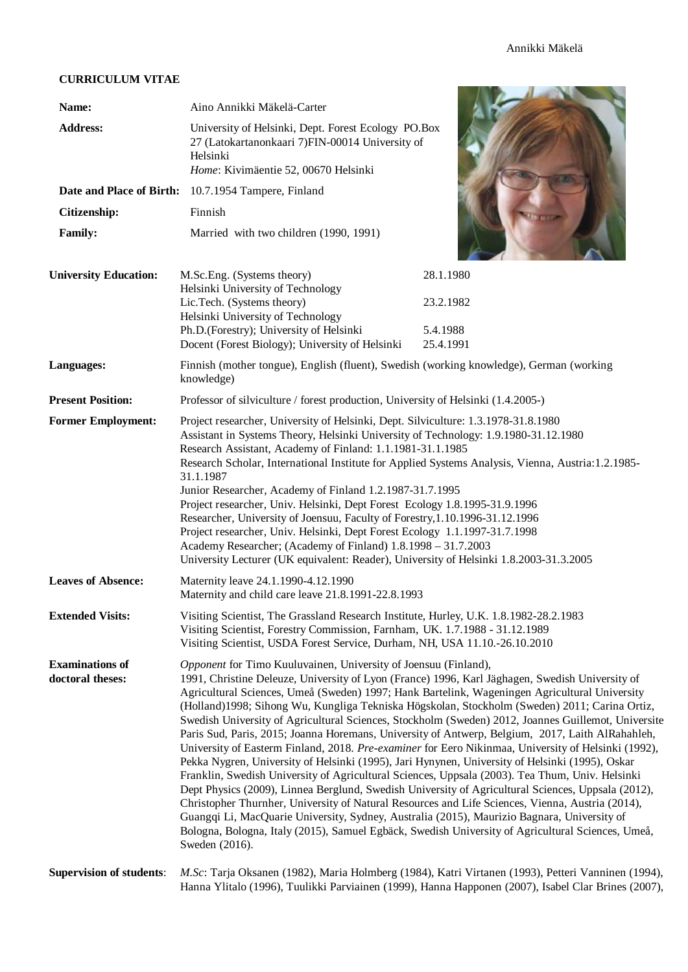# **CURRICULUM VITAE**

| CURRICULUM VITAE                           |                                                                                                                                                                                                                                                                                                                                                                                                                                                                                                                                                                                                                                                                                                                                                                                                                                                                                                                                                                                                                                                                                                                                                                                                                                                                                                                              |                       |  |  |  |
|--------------------------------------------|------------------------------------------------------------------------------------------------------------------------------------------------------------------------------------------------------------------------------------------------------------------------------------------------------------------------------------------------------------------------------------------------------------------------------------------------------------------------------------------------------------------------------------------------------------------------------------------------------------------------------------------------------------------------------------------------------------------------------------------------------------------------------------------------------------------------------------------------------------------------------------------------------------------------------------------------------------------------------------------------------------------------------------------------------------------------------------------------------------------------------------------------------------------------------------------------------------------------------------------------------------------------------------------------------------------------------|-----------------------|--|--|--|
| Name:                                      | Aino Annikki Mäkelä-Carter                                                                                                                                                                                                                                                                                                                                                                                                                                                                                                                                                                                                                                                                                                                                                                                                                                                                                                                                                                                                                                                                                                                                                                                                                                                                                                   |                       |  |  |  |
| <b>Address:</b>                            | University of Helsinki, Dept. Forest Ecology PO.Box<br>27 (Latokartanonkaari 7)FIN-00014 University of<br>Helsinki<br>Home: Kivimäentie 52, 00670 Helsinki                                                                                                                                                                                                                                                                                                                                                                                                                                                                                                                                                                                                                                                                                                                                                                                                                                                                                                                                                                                                                                                                                                                                                                   |                       |  |  |  |
| Date and Place of Birth:                   | 10.7.1954 Tampere, Finland                                                                                                                                                                                                                                                                                                                                                                                                                                                                                                                                                                                                                                                                                                                                                                                                                                                                                                                                                                                                                                                                                                                                                                                                                                                                                                   |                       |  |  |  |
| Citizenship:                               | Finnish                                                                                                                                                                                                                                                                                                                                                                                                                                                                                                                                                                                                                                                                                                                                                                                                                                                                                                                                                                                                                                                                                                                                                                                                                                                                                                                      |                       |  |  |  |
| <b>Family:</b>                             | Married with two children (1990, 1991)                                                                                                                                                                                                                                                                                                                                                                                                                                                                                                                                                                                                                                                                                                                                                                                                                                                                                                                                                                                                                                                                                                                                                                                                                                                                                       |                       |  |  |  |
| <b>University Education:</b>               | M.Sc.Eng. (Systems theory)                                                                                                                                                                                                                                                                                                                                                                                                                                                                                                                                                                                                                                                                                                                                                                                                                                                                                                                                                                                                                                                                                                                                                                                                                                                                                                   | 28.1.1980             |  |  |  |
|                                            | Helsinki University of Technology<br>Lic.Tech. (Systems theory)<br>Helsinki University of Technology<br>Ph.D.(Forestry); University of Helsinki                                                                                                                                                                                                                                                                                                                                                                                                                                                                                                                                                                                                                                                                                                                                                                                                                                                                                                                                                                                                                                                                                                                                                                              | 23.2.1982<br>5.4.1988 |  |  |  |
|                                            | Docent (Forest Biology); University of Helsinki                                                                                                                                                                                                                                                                                                                                                                                                                                                                                                                                                                                                                                                                                                                                                                                                                                                                                                                                                                                                                                                                                                                                                                                                                                                                              | 25.4.1991             |  |  |  |
| Languages:                                 | Finnish (mother tongue), English (fluent), Swedish (working knowledge), German (working<br>knowledge)                                                                                                                                                                                                                                                                                                                                                                                                                                                                                                                                                                                                                                                                                                                                                                                                                                                                                                                                                                                                                                                                                                                                                                                                                        |                       |  |  |  |
| <b>Present Position:</b>                   | Professor of silviculture / forest production, University of Helsinki (1.4.2005-)                                                                                                                                                                                                                                                                                                                                                                                                                                                                                                                                                                                                                                                                                                                                                                                                                                                                                                                                                                                                                                                                                                                                                                                                                                            |                       |  |  |  |
| <b>Former Employment:</b>                  | Project researcher, University of Helsinki, Dept. Silviculture: 1.3.1978-31.8.1980<br>Assistant in Systems Theory, Helsinki University of Technology: 1.9.1980-31.12.1980<br>Research Assistant, Academy of Finland: 1.1.1981-31.1.1985<br>Research Scholar, International Institute for Applied Systems Analysis, Vienna, Austria:1.2.1985-<br>31.1.1987<br>Junior Researcher, Academy of Finland 1.2.1987-31.7.1995<br>Project researcher, Univ. Helsinki, Dept Forest Ecology 1.8.1995-31.9.1996<br>Researcher, University of Joensuu, Faculty of Forestry, 1.10.1996-31.12.1996<br>Project researcher, Univ. Helsinki, Dept Forest Ecology 1.1.1997-31.7.1998<br>Academy Researcher; (Academy of Finland) 1.8.1998 - 31.7.2003<br>University Lecturer (UK equivalent: Reader), University of Helsinki 1.8.2003-31.3.2005                                                                                                                                                                                                                                                                                                                                                                                                                                                                                                 |                       |  |  |  |
| <b>Leaves of Absence:</b>                  | Maternity leave 24.1.1990-4.12.1990<br>Maternity and child care leave 21.8.1991-22.8.1993                                                                                                                                                                                                                                                                                                                                                                                                                                                                                                                                                                                                                                                                                                                                                                                                                                                                                                                                                                                                                                                                                                                                                                                                                                    |                       |  |  |  |
| <b>Extended Visits:</b>                    | Visiting Scientist, The Grassland Research Institute, Hurley, U.K. 1.8.1982-28.2.1983<br>Visiting Scientist, Forestry Commission, Farnham, UK. 1.7.1988 - 31.12.1989<br>Visiting Scientist, USDA Forest Service, Durham, NH, USA 11.10.-26.10.2010                                                                                                                                                                                                                                                                                                                                                                                                                                                                                                                                                                                                                                                                                                                                                                                                                                                                                                                                                                                                                                                                           |                       |  |  |  |
| <b>Examinations of</b><br>doctoral theses: | Opponent for Timo Kuuluvainen, University of Joensuu (Finland),<br>1991, Christine Deleuze, University of Lyon (France) 1996, Karl Jäghagen, Swedish University of<br>Agricultural Sciences, Umeå (Sweden) 1997; Hank Bartelink, Wageningen Agricultural University<br>(Holland)1998; Sihong Wu, Kungliga Tekniska Högskolan, Stockholm (Sweden) 2011; Carina Ortiz,<br>Swedish University of Agricultural Sciences, Stockholm (Sweden) 2012, Joannes Guillemot, Universite<br>Paris Sud, Paris, 2015; Joanna Horemans, University of Antwerp, Belgium, 2017, Laith AlRahahleh,<br>University of Easterm Finland, 2018. Pre-examiner for Eero Nikinmaa, University of Helsinki (1992),<br>Pekka Nygren, University of Helsinki (1995), Jari Hynynen, University of Helsinki (1995), Oskar<br>Franklin, Swedish University of Agricultural Sciences, Uppsala (2003). Tea Thum, Univ. Helsinki<br>Dept Physics (2009), Linnea Berglund, Swedish University of Agricultural Sciences, Uppsala (2012),<br>Christopher Thurnher, University of Natural Resources and Life Sciences, Vienna, Austria (2014),<br>Guangqi Li, MacQuarie University, Sydney, Australia (2015), Maurizio Bagnara, University of<br>Bologna, Bologna, Italy (2015), Samuel Egbäck, Swedish University of Agricultural Sciences, Umeå,<br>Sweden (2016). |                       |  |  |  |
| <b>Supervision of students:</b>            | M.Sc: Tarja Oksanen (1982), Maria Holmberg (1984), Katri Virtanen (1993), Petteri Vanninen (1994),<br>Hanna Ylitalo (1996), Tuulikki Parviainen (1999), Hanna Happonen (2007), Isabel Clar Brines (2007),                                                                                                                                                                                                                                                                                                                                                                                                                                                                                                                                                                                                                                                                                                                                                                                                                                                                                                                                                                                                                                                                                                                    |                       |  |  |  |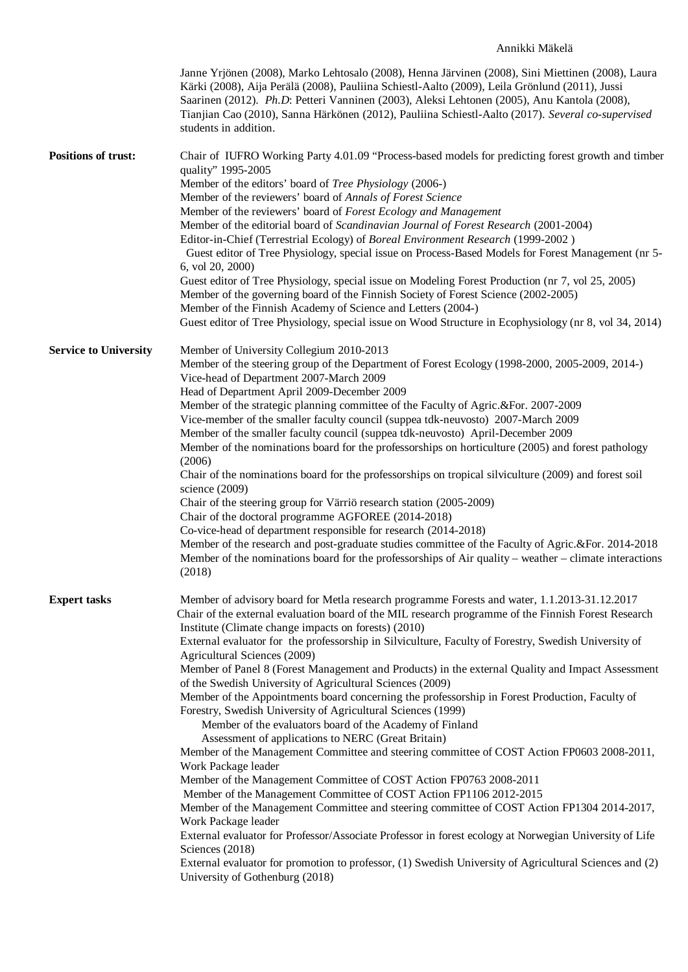## Annikki Mäkelä

| Janne Yrjönen (2008), Marko Lehtosalo (2008), Henna Järvinen (2008), Sini Miettinen (2008), Laura<br>Kärki (2008), Aija Perälä (2008), Pauliina Schiestl-Aalto (2009), Leila Grönlund (2011), Jussi<br>Saarinen (2012). Ph.D: Petteri Vanninen (2003), Aleksi Lehtonen (2005), Anu Kantola (2008),<br>Tianjian Cao (2010), Sanna Härkönen (2012), Pauliina Schiestl-Aalto (2017). Several co-supervised<br>students in addition. |  |  |  |  |
|----------------------------------------------------------------------------------------------------------------------------------------------------------------------------------------------------------------------------------------------------------------------------------------------------------------------------------------------------------------------------------------------------------------------------------|--|--|--|--|
| Chair of IUFRO Working Party 4.01.09 "Process-based models for predicting forest growth and timber                                                                                                                                                                                                                                                                                                                               |  |  |  |  |
| quality" 1995-2005<br>Member of the editors' board of Tree Physiology (2006-)                                                                                                                                                                                                                                                                                                                                                    |  |  |  |  |
| Member of the reviewers' board of Annals of Forest Science                                                                                                                                                                                                                                                                                                                                                                       |  |  |  |  |
| Member of the reviewers' board of Forest Ecology and Management                                                                                                                                                                                                                                                                                                                                                                  |  |  |  |  |
| Member of the editorial board of Scandinavian Journal of Forest Research (2001-2004)                                                                                                                                                                                                                                                                                                                                             |  |  |  |  |
| Editor-in-Chief (Terrestrial Ecology) of Boreal Environment Research (1999-2002)                                                                                                                                                                                                                                                                                                                                                 |  |  |  |  |
| Guest editor of Tree Physiology, special issue on Process-Based Models for Forest Management (nr 5-<br>6, vol 20, 2000)                                                                                                                                                                                                                                                                                                          |  |  |  |  |
| Guest editor of Tree Physiology, special issue on Modeling Forest Production (nr 7, vol 25, 2005)                                                                                                                                                                                                                                                                                                                                |  |  |  |  |
| Member of the governing board of the Finnish Society of Forest Science (2002-2005)                                                                                                                                                                                                                                                                                                                                               |  |  |  |  |
| Member of the Finnish Academy of Science and Letters (2004-)                                                                                                                                                                                                                                                                                                                                                                     |  |  |  |  |
| Guest editor of Tree Physiology, special issue on Wood Structure in Ecophysiology (nr 8, vol 34, 2014)                                                                                                                                                                                                                                                                                                                           |  |  |  |  |
| Member of University Collegium 2010-2013                                                                                                                                                                                                                                                                                                                                                                                         |  |  |  |  |
| Member of the steering group of the Department of Forest Ecology (1998-2000, 2005-2009, 2014-)                                                                                                                                                                                                                                                                                                                                   |  |  |  |  |
| Vice-head of Department 2007-March 2009                                                                                                                                                                                                                                                                                                                                                                                          |  |  |  |  |
| Head of Department April 2009-December 2009<br>Member of the strategic planning committee of the Faculty of Agric.&For. 2007-2009                                                                                                                                                                                                                                                                                                |  |  |  |  |
| Vice-member of the smaller faculty council (suppea tdk-neuvosto) 2007-March 2009                                                                                                                                                                                                                                                                                                                                                 |  |  |  |  |
| Member of the smaller faculty council (suppea tdk-neuvosto) April-December 2009                                                                                                                                                                                                                                                                                                                                                  |  |  |  |  |
| Member of the nominations board for the professorships on horticulture (2005) and forest pathology<br>(2006)                                                                                                                                                                                                                                                                                                                     |  |  |  |  |
| Chair of the nominations board for the professorships on tropical silviculture (2009) and forest soil<br>science $(2009)$                                                                                                                                                                                                                                                                                                        |  |  |  |  |
| Chair of the steering group for Värriö research station (2005-2009)                                                                                                                                                                                                                                                                                                                                                              |  |  |  |  |
| Chair of the doctoral programme AGFOREE (2014-2018)                                                                                                                                                                                                                                                                                                                                                                              |  |  |  |  |
| Co-vice-head of department responsible for research (2014-2018)<br>Member of the research and post-graduate studies committee of the Faculty of Agric. & For. 2014-2018                                                                                                                                                                                                                                                          |  |  |  |  |
| Member of the nominations board for the professorships of Air quality – weather – climate interactions<br>(2018)                                                                                                                                                                                                                                                                                                                 |  |  |  |  |
| Member of advisory board for Metla research programme Forests and water, 1.1.2013-31.12.2017                                                                                                                                                                                                                                                                                                                                     |  |  |  |  |
| Chair of the external evaluation board of the MIL research programme of the Finnish Forest Research                                                                                                                                                                                                                                                                                                                              |  |  |  |  |
| Institute (Climate change impacts on forests) (2010)                                                                                                                                                                                                                                                                                                                                                                             |  |  |  |  |
| External evaluator for the professorship in Silviculture, Faculty of Forestry, Swedish University of                                                                                                                                                                                                                                                                                                                             |  |  |  |  |
| Agricultural Sciences (2009)<br>Member of Panel 8 (Forest Management and Products) in the external Quality and Impact Assessment                                                                                                                                                                                                                                                                                                 |  |  |  |  |
| of the Swedish University of Agricultural Sciences (2009)                                                                                                                                                                                                                                                                                                                                                                        |  |  |  |  |
| Member of the Appointments board concerning the professorship in Forest Production, Faculty of                                                                                                                                                                                                                                                                                                                                   |  |  |  |  |
| Forestry, Swedish University of Agricultural Sciences (1999)<br>Member of the evaluators board of the Academy of Finland                                                                                                                                                                                                                                                                                                         |  |  |  |  |
| Assessment of applications to NERC (Great Britain)                                                                                                                                                                                                                                                                                                                                                                               |  |  |  |  |
| Member of the Management Committee and steering committee of COST Action FP0603 2008-2011,                                                                                                                                                                                                                                                                                                                                       |  |  |  |  |
| Work Package leader<br>Member of the Management Committee of COST Action FP0763 2008-2011                                                                                                                                                                                                                                                                                                                                        |  |  |  |  |
| Member of the Management Committee of COST Action FP1106 2012-2015                                                                                                                                                                                                                                                                                                                                                               |  |  |  |  |
| Member of the Management Committee and steering committee of COST Action FP1304 2014-2017,<br>Work Package leader                                                                                                                                                                                                                                                                                                                |  |  |  |  |
| External evaluator for Professor/Associate Professor in forest ecology at Norwegian University of Life<br>Sciences (2018)                                                                                                                                                                                                                                                                                                        |  |  |  |  |
| External evaluator for promotion to professor, (1) Swedish University of Agricultural Sciences and (2)<br>University of Gothenburg (2018)                                                                                                                                                                                                                                                                                        |  |  |  |  |
|                                                                                                                                                                                                                                                                                                                                                                                                                                  |  |  |  |  |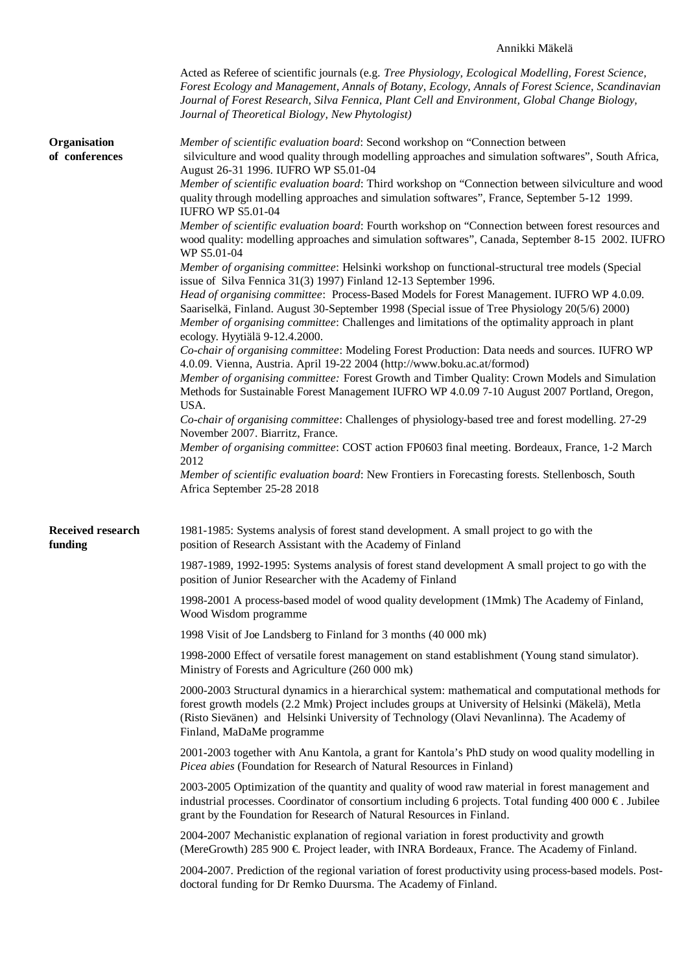## Annikki Mäkelä

|                                     | Acted as Referee of scientific journals (e.g. Tree Physiology, Ecological Modelling, Forest Science,<br>Forest Ecology and Management, Annals of Botany, Ecology, Annals of Forest Science, Scandinavian<br>Journal of Forest Research, Silva Fennica, Plant Cell and Environment, Global Change Biology,<br>Journal of Theoretical Biology, New Phytologist)                                                                                                        |  |  |  |  |
|-------------------------------------|----------------------------------------------------------------------------------------------------------------------------------------------------------------------------------------------------------------------------------------------------------------------------------------------------------------------------------------------------------------------------------------------------------------------------------------------------------------------|--|--|--|--|
| Organisation<br>of conferences      | Member of scientific evaluation board: Second workshop on "Connection between<br>silviculture and wood quality through modelling approaches and simulation softwares", South Africa,<br>August 26-31 1996. IUFRO WP S5.01-04                                                                                                                                                                                                                                         |  |  |  |  |
|                                     | Member of scientific evaluation board: Third workshop on "Connection between silviculture and wood<br>quality through modelling approaches and simulation softwares", France, September 5-12 1999.<br><b>IUFRO WP S5.01-04</b>                                                                                                                                                                                                                                       |  |  |  |  |
|                                     | Member of scientific evaluation board: Fourth workshop on "Connection between forest resources and<br>wood quality: modelling approaches and simulation softwares", Canada, September 8-15 2002. IUFRO<br>WP S5.01-04                                                                                                                                                                                                                                                |  |  |  |  |
|                                     | Member of organising committee: Helsinki workshop on functional-structural tree models (Special<br>issue of Silva Fennica 31(3) 1997) Finland 12-13 September 1996.<br>Head of organising committee: Process-Based Models for Forest Management. IUFRO WP 4.0.09.<br>Saariselkä, Finland. August 30-September 1998 (Special issue of Tree Physiology 20(5/6) 2000)<br>Member of organising committee: Challenges and limitations of the optimality approach in plant |  |  |  |  |
|                                     | ecology. Hyytiälä 9-12.4.2000.                                                                                                                                                                                                                                                                                                                                                                                                                                       |  |  |  |  |
|                                     | Co-chair of organising committee: Modeling Forest Production: Data needs and sources. IUFRO WP<br>4.0.09. Vienna, Austria. April 19-22 2004 (http://www.boku.ac.at/formod)                                                                                                                                                                                                                                                                                           |  |  |  |  |
|                                     | Member of organising committee: Forest Growth and Timber Quality: Crown Models and Simulation<br>Methods for Sustainable Forest Management IUFRO WP 4.0.09 7-10 August 2007 Portland, Oregon,<br>USA.                                                                                                                                                                                                                                                                |  |  |  |  |
|                                     | Co-chair of organising committee: Challenges of physiology-based tree and forest modelling. 27-29<br>November 2007. Biarritz, France.                                                                                                                                                                                                                                                                                                                                |  |  |  |  |
|                                     | Member of organising committee: COST action FP0603 final meeting. Bordeaux, France, 1-2 March<br>2012                                                                                                                                                                                                                                                                                                                                                                |  |  |  |  |
|                                     | Member of scientific evaluation board: New Frontiers in Forecasting forests. Stellenbosch, South<br>Africa September 25-28 2018                                                                                                                                                                                                                                                                                                                                      |  |  |  |  |
| <b>Received research</b><br>funding | 1981-1985: Systems analysis of forest stand development. A small project to go with the<br>position of Research Assistant with the Academy of Finland                                                                                                                                                                                                                                                                                                                |  |  |  |  |
|                                     | 1987-1989, 1992-1995: Systems analysis of forest stand development A small project to go with the<br>position of Junior Researcher with the Academy of Finland                                                                                                                                                                                                                                                                                                       |  |  |  |  |
|                                     | 1998-2001 A process-based model of wood quality development (1Mmk) The Academy of Finland,<br>Wood Wisdom programme                                                                                                                                                                                                                                                                                                                                                  |  |  |  |  |
|                                     | 1998 Visit of Joe Landsberg to Finland for 3 months (40 000 mk)                                                                                                                                                                                                                                                                                                                                                                                                      |  |  |  |  |
|                                     | 1998-2000 Effect of versatile forest management on stand establishment (Young stand simulator).<br>Ministry of Forests and Agriculture (260 000 mk)                                                                                                                                                                                                                                                                                                                  |  |  |  |  |
|                                     | 2000-2003 Structural dynamics in a hierarchical system: mathematical and computational methods for<br>forest growth models (2.2 Mmk) Project includes groups at University of Helsinki (Mäkelä), Metla<br>(Risto Sievänen) and Helsinki University of Technology (Olavi Nevanlinna). The Academy of<br>Finland, MaDaMe programme                                                                                                                                     |  |  |  |  |
|                                     | 2001-2003 together with Anu Kantola, a grant for Kantola's PhD study on wood quality modelling in<br>Picea abies (Foundation for Research of Natural Resources in Finland)                                                                                                                                                                                                                                                                                           |  |  |  |  |
|                                     | 2003-2005 Optimization of the quantity and quality of wood raw material in forest management and<br>industrial processes. Coordinator of consortium including 6 projects. Total funding 400 000 $\epsilon$ . Jubilee<br>grant by the Foundation for Research of Natural Resources in Finland.                                                                                                                                                                        |  |  |  |  |
|                                     | 2004-2007 Mechanistic explanation of regional variation in forest productivity and growth<br>(MereGrowth) 285 900 € Project leader, with INRA Bordeaux, France. The Academy of Finland.                                                                                                                                                                                                                                                                              |  |  |  |  |
|                                     | 2004-2007. Prediction of the regional variation of forest productivity using process-based models. Post-<br>doctoral funding for Dr Remko Duursma. The Academy of Finland.                                                                                                                                                                                                                                                                                           |  |  |  |  |
|                                     |                                                                                                                                                                                                                                                                                                                                                                                                                                                                      |  |  |  |  |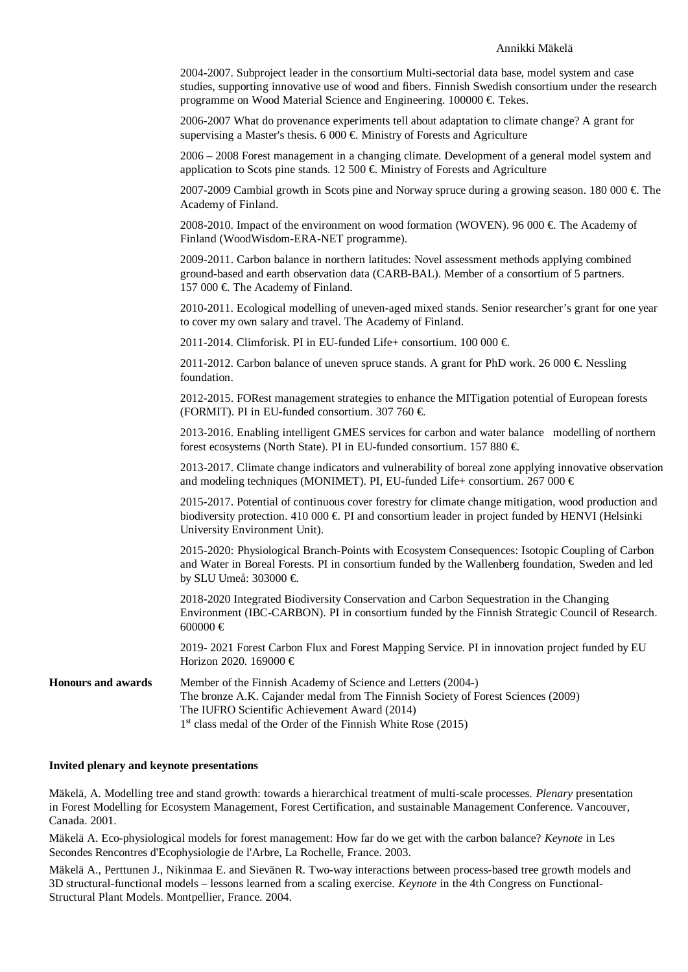2004-2007. Subproject leader in the consortium Multi-sectorial data base, model system and case studies, supporting innovative use of wood and fibers. Finnish Swedish consortium under the research programme on Wood Material Science and Engineering.  $100000 \in$  Tekes.

2006-2007 What do provenance experiments tell about adaptation to climate change? A grant for supervising a Master's thesis. 6 000  $\in$  Ministry of Forests and Agriculture

2006 – 2008 Forest management in a changing climate. Development of a general model system and application to Scots pine stands. 12 500  $\in$  Ministry of Forests and Agriculture

2007-2009 Cambial growth in Scots pine and Norway spruce during a growing season. 180 000  $\in$  The Academy of Finland.

2008-2010. Impact of the environment on wood formation (WOVEN). 96 000  $\in$  The Academy of Finland (WoodWisdom-ERA-NET programme).

2009-2011. Carbon balance in northern latitudes: Novel assessment methods applying combined ground-based and earth observation data (CARB-BAL). Member of a consortium of 5 partners. 157 000 € The Academy of Finland.

2010-2011. Ecological modelling of uneven-aged mixed stands. Senior researcher's grant for one year to cover my own salary and travel. The Academy of Finland.

2011-2014. Climforisk. PI in EU-funded Life+ consortium. 100 000  $\in$ 

2011-2012. Carbon balance of uneven spruce stands. A grant for PhD work. 26 000  $\in$  Nessling foundation.

2012-2015. FORest management strategies to enhance the MITigation potential of European forests (FORMIT). PI in EU-funded consortium. 307 760  $\in$ 

2013-2016. Enabling intelligent GMES services for carbon and water balance modelling of northern forest ecosystems (North State). PI in EU-funded consortium. 157 880 €.

2013-2017. Climate change indicators and vulnerability of boreal zone applying innovative observation and modeling techniques (MONIMET). PI, EU-funded Life+ consortium. 267 000  $\in$ 

2015-2017. Potential of continuous cover forestry for climate change mitigation, wood production and biodiversity protection.  $410\,000 \in \text{PI}$  and consortium leader in project funded by HENVI (Helsinki University Environment Unit).

2015-2020: Physiological Branch-Points with Ecosystem Consequences: Isotopic Coupling of Carbon and Water in Boreal Forests. PI in consortium funded by the Wallenberg foundation, Sweden and led by SLU Umeå: 303000 €.

2018-2020 Integrated Biodiversity Conservation and Carbon Sequestration in the Changing Environment (IBC-CARBON). PI in consortium funded by the Finnish Strategic Council of Research. 600000 €

2019- 2021 Forest Carbon Flux and Forest Mapping Service. PI in innovation project funded by EU Horizon 2020. 169000 €

**Honours and awards** Member of the Finnish Academy of Science and Letters (2004-) The bronze A.K. Cajander medal from The Finnish Society of Forest Sciences (2009) The IUFRO Scientific Achievement Award (2014) 1<sup>st</sup> class medal of the Order of the Finnish White Rose (2015)

#### **Invited plenary and keynote presentations**

Mäkelä, A. Modelling tree and stand growth: towards a hierarchical treatment of multi-scale processes. *Plenary* presentation in Forest Modelling for Ecosystem Management, Forest Certification, and sustainable Management Conference. Vancouver, Canada. 2001.

Mäkelä A. Eco-physiological models for forest management: How far do we get with the carbon balance? *Keynote* in Les Secondes Rencontres d'Ecophysiologie de l'Arbre, La Rochelle, France. 2003.

Mäkelä A., Perttunen J., Nikinmaa E. and Sievänen R. Two-way interactions between process-based tree growth models and 3D structural-functional models – lessons learned from a scaling exercise. *Keynote* in the 4th Congress on Functional-Structural Plant Models. Montpellier, France. 2004.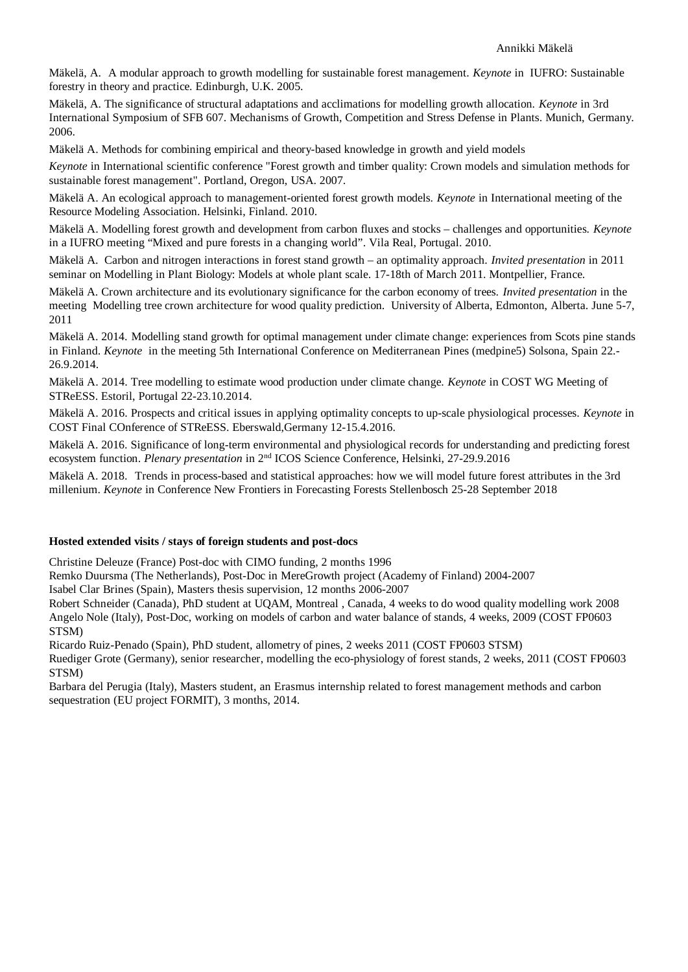Mäkelä, A. A modular approach to growth modelling for sustainable forest management. *Keynote* in IUFRO: Sustainable forestry in theory and practice. Edinburgh, U.K. 2005.

Mäkelä, A. The significance of structural adaptations and acclimations for modelling growth allocation. *Keynote* in 3rd International Symposium of SFB 607. Mechanisms of Growth, Competition and Stress Defense in Plants. Munich, Germany. 2006.

Mäkelä A. Methods for combining empirical and theory-based knowledge in growth and yield models

*Keynote* in International scientific conference "Forest growth and timber quality: Crown models and simulation methods for sustainable forest management". Portland, Oregon, USA. 2007.

Mäkelä A. An ecological approach to management-oriented forest growth models. *Keynote* in International meeting of the Resource Modeling Association. Helsinki, Finland. 2010.

Mäkelä A. Modelling forest growth and development from carbon fluxes and stocks – challenges and opportunities. *Keynote* in a IUFRO meeting "Mixed and pure forests in a changing world". Vila Real, Portugal. 2010.

Mäkelä A. Carbon and nitrogen interactions in forest stand growth – an optimality approach. *Invited presentation* in 2011 seminar on Modelling in Plant Biology: Models at whole plant scale. 17-18th of March 2011. Montpellier, France.

Mäkelä A. Crown architecture and its evolutionary significance for the carbon economy of trees. *Invited presentation* in the meeting Modelling tree crown architecture for wood quality prediction. University of Alberta, Edmonton, Alberta. June 5-7, 2011

Mäkelä A. 2014. Modelling stand growth for optimal management under climate change: experiences from Scots pine stands in Finland. *Keynote* in the meeting 5th International Conference on Mediterranean Pines (medpine5) Solsona, Spain 22.-26.9.2014.

Mäkelä A. 2014. Tree modelling to estimate wood production under climate change. *Keynote* in COST WG Meeting of 26.9.2014.<br>Mäkelä A. 2014. Tree modelling to estimate wo<br><mark>STReESS</mark>. Estoril, Portugal 22-23.10.2014.

Mäkelä A. 2016. Prospects and critical issues in applying optimality concepts to up-scale physiological processes. *Keynote* in STReESS. Estoril, Portugal 22-23.10.2014.<br>Mäkelä A. 2016. Prospects and critical issues in applying optimality concepts t<br>COST Final COnference of STReESS. Eberswald,Germany 12-15.4.2016.

Mäkelä A. 2016. Significance of long-term environmental and physiological records for understanding and predicting forest ecosystem function. *Plenary presentation* in 2nd ICOS Science Conference, Helsinki, 27-29.9.2016

Mäkelä A. 2018. Trends in process-based and statistical approaches: how we will model future forest attributes in the 3rd millenium. *Keynote* in Conference New Frontiers in Forecasting Forests Stellenbosch 25-28 September 2018

## **Hosted extended visits / stays of foreign students and post-docs**

Christine Deleuze (France) Post-doc with CIMO funding, 2 months 1996

Remko Duursma (The Netherlands), Post-Doc in MereGrowth project (Academy of Finland) 2004-2007

Isabel Clar Brines (Spain), Masters thesis supervision, 12 months 2006-2007

Robert Schneider (Canada), PhD student at UQAM, Montreal , Canada, 4 weeks to do wood quality modelling work 2008 Angelo Nole (Italy), Post-Doc, working on models of carbon and water balance of stands, 4 weeks, 2009 (COST FP0603 STSM)

Ricardo Ruiz-Penado (Spain), PhD student, allometry of pines, 2 weeks 2011 (COST FP0603 STSM)

Ruediger Grote (Germany), senior researcher, modelling the eco-physiology of forest stands, 2 weeks, 2011 (COST FP0603 STSM)

Barbara del Perugia (Italy), Masters student, an Erasmus internship related to forest management methods and carbon sequestration (EU project FORMIT), 3 months, 2014.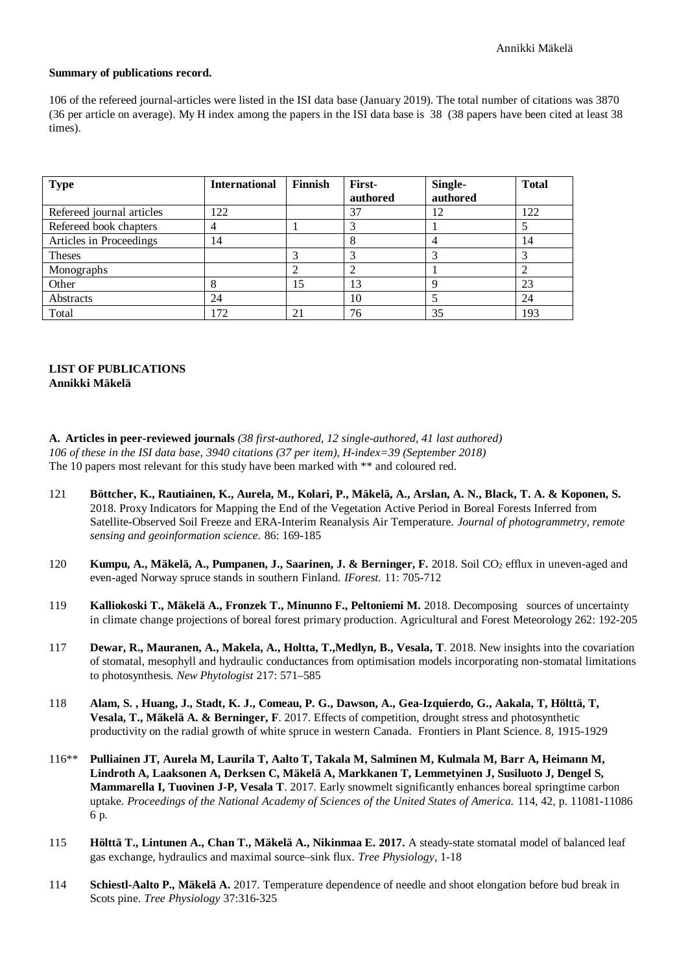#### **Summary of publications record.**

106 of the refereed journal-articles were listed in the ISI data base (January 2019). The total number of citations was 3870 (36 per article on average). My H index among the papers in the ISI data base is 38 (38 papers have been cited at least 38 times).

| <b>Type</b>               | <b>International</b> | <b>Finnish</b> | First-   | Single-  | <b>Total</b> |
|---------------------------|----------------------|----------------|----------|----------|--------------|
|                           |                      |                | authored | authored |              |
| Refereed journal articles | 122                  |                | 37       | 12       | 122          |
| Refereed book chapters    |                      |                |          |          |              |
| Articles in Proceedings   | 14                   |                |          |          | 14           |
| <b>Theses</b>             |                      |                |          |          |              |
| Monographs                |                      |                |          |          |              |
| Other                     |                      | 15             | 13       |          | 23           |
| <b>Abstracts</b>          | 24                   |                | 10       |          | 24           |
| Total                     | 172                  | 21             | 76       | 35       | 193          |

## **LIST OF PUBLICATIONS Annikki Mäkelä**

**A. Articles in peer-reviewed journals** *(38 first-authored, 12 single-authored, 41 last authored) 106 of these in the ISI data base, 3940 citations (37 per item), H-index=39 (September 2018)* The 10 papers most relevant for this study have been marked with \*\* and coloured red.

- 121 **Böttcher, K., Rautiainen, K., Aurela, M., Kolari, P., Mäkelä, A., Arslan, A. N., Black, T. A. & Koponen, S.** 2018. Proxy Indicators for Mapping the End of the Vegetation Active Period in Boreal Forests Inferred from Satellite-Observed Soil Freeze and ERA-Interim Reanalysis Air Temperature. *Journal of photogrammetry, remote sensing and geoinformation science.* 86: 169-185
- 120 **Kumpu, A., Mäkelä, A., Pumpanen, J., Saarinen, J. & Berninger, F.** 2018. Soil CO<sub>2</sub> efflux in uneven-aged and even-aged Norway spruce stands in southern Finland. *IForest.* 11: 705-712
- 119 **Kalliokoski T., Mäkelä A., Fronzek T., Minunno F., Peltoniemi M.** 2018. Decomposing sources of uncertainty in climate change projections of boreal forest primary production. Agricultural and Forest Meteorology 262: 192-205
- 117 **Dewar, R., Mauranen, A., Makela, A., Holtta, T.,Medlyn, B., Vesala, T**. 2018. New insights into the covariation of stomatal, mesophyll and hydraulic conductances from optimisation models incorporating non-stomatal limitations to photosynthesis. *New Phytologist* 217: 571–585
- 118 **Alam, S. , Huang, J., Stadt, K. J., Comeau, P. G., Dawson, A., Gea-Izquierdo, G., Aakala, T, Hölttä, T, Vesala, T., Mäkelä A. & Berninger, F**. 2017. Effects of competition, drought stress and photosynthetic productivity on the radial growth of white spruce in western Canada. Frontiers in Plant Science. 8, 1915-1929
- 116\*\* **Pulliainen JT, Aurela M, Laurila T, Aalto T, Takala M, Salminen M, Kulmala M, Barr A, Heimann M, Lindroth A, Laaksonen A, Derksen C, Mäkelä A, Markkanen T, Lemmetyinen J, Susiluoto J, Dengel S, Mammarella I, Tuovinen J-P, Vesala T**. 2017. Early snowmelt significantly enhances boreal springtime carbon uptake. *Proceedings of the National Academy of Sciences of the United States of America.* 114, 42, p. 11081-11086 6 p*.*
- 115 **Hölttä T., Lintunen A., Chan T., Mäkelä A., Nikinmaa E. 2017.** A steady-state stomatal model of balanced leaf gas exchange, hydraulics and maximal source–sink flux. *Tree Physiology*, 1-18
- 114 **Schiestl-Aalto P., Mäkelä A.** 2017. Temperature dependence of needle and shoot elongation before bud break in Scots pine. *Tree Physiology* 37:316-325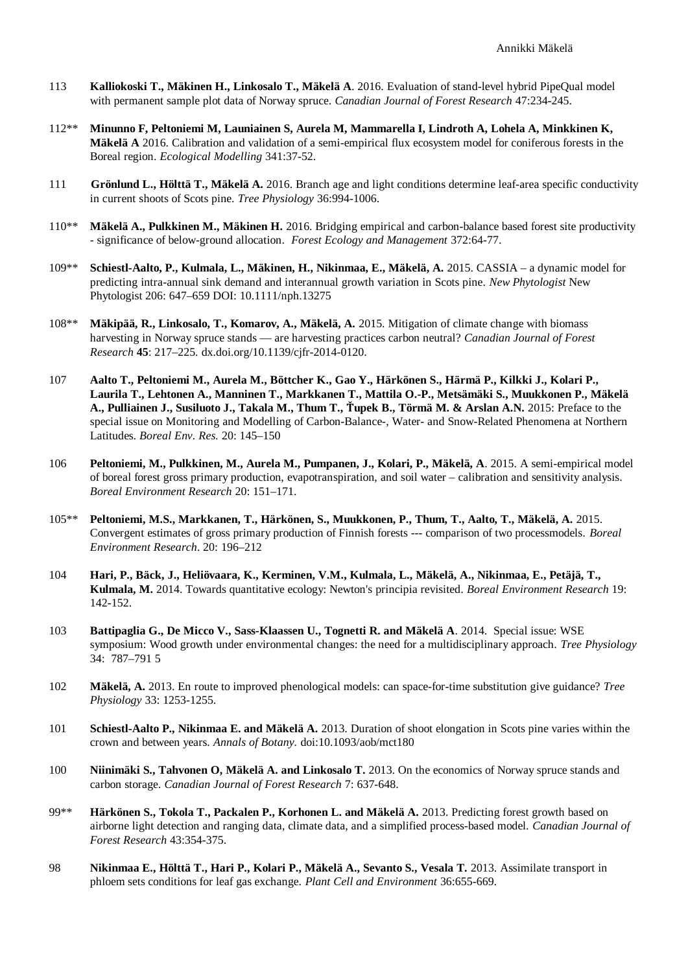- 113 **Kalliokoski T., Mäkinen H., Linkosalo T., Mäkelä A**. 2016. Evaluation of stand-level hybrid PipeQual model with permanent sample plot data of Norway spruce. *Canadian Journal of Forest Research* 47:234-245.
- 112\*\* **Minunno F, Peltoniemi M, Launiainen S, Aurela M, Mammarella I, Lindroth A, Lohela A, Minkkinen K, Mäkelä A** 2016. Calibration and validation of a semi-empirical flux ecosystem model for coniferous forests in the Boreal region. *Ecological Modelling* 341:37-52.
- 111 **Grönlund L., Hölttä T., Mäkelä A.** 2016. Branch age and light conditions determine leaf-area specific conductivity in current shoots of Scots pine. *Tree Physiology* 36:994-1006.
- 110\*\* **Mäkelä A., Pulkkinen M., Mäkinen H.** 2016. Bridging empirical and carbon-balance based forest site productivity - significance of below-ground allocation. *Forest Ecology and Management* 372:64-77.
- 109\*\* **Schiestl-Aalto, P., Kulmala, L., Mäkinen, H., Nikinmaa, E., Mäkelä, A.** 2015. CASSIA a dynamic model for predicting intra-annual sink demand and interannual growth variation in Scots pine. *New Phytologist* New Phytologist 206: 647–659 DOI: 10.1111/nph.13275
- 108\*\* **Mäkipää, R., Linkosalo, T., Komarov, A., Mäkelä, A.** 2015. Mitigation of climate change with biomass harvesting in Norway spruce stands –– are harvesting practices carbon neutral? *Canadian Journal of Forest Research* **45**: 217–225. dx.doi.org/10.1139/cjfr-2014-0120.
- 107 **Aalto T., Peltoniemi M., Aurela M., Böttcher K., Gao Y., Härkönen S., Härmä P., Kilkki J., Kolari P., Laurila T., Lehtonen A., Manninen T., Markkanen T., Mattila O.-P., Metsämäki S., Muukkonen P., Mäkelä A., Pulliainen J., Susiluoto J., Takala M., Thum T., Ťupek B., Törmä M. & Arslan A.N.** 2015: Preface to the special issue on Monitoring and Modelling of Carbon-Balance-, Water- and Snow-Related Phenomena at Northern Latitudes. *Boreal Env. Res.* 20: 145–150
- 106 **Peltoniemi, M., Pulkkinen, M., Aurela M., Pumpanen, J., Kolari, P., Mäkelä, A**. 2015. A semi-empirical model of boreal forest gross primary production, evapotranspiration, and soil water – calibration and sensitivity analysis. *Boreal Environment Research* 20: 151–171.
- 105\*\* **Peltoniemi, M.S., Markkanen, T., Härkönen, S., Muukkonen, P., Thum, T., Aalto, T., Mäkelä, A.** 2015. Convergent estimates of gross primary production of Finnish forests --- comparison of two processmodels. *Boreal Environment Research*. 20: 196–212
- 104 **Hari, P., Bäck, J., Heliövaara, K., Kerminen, V.M., Kulmala, L., Mäkelä, A., Nikinmaa, E., Petäjä, T., Kulmala, M.** 2014. Towards quantitative ecology: Newton's principia revisited. *Boreal Environment Research* 19: 142-152.
- 103 **Battipaglia G., De Micco V., Sass-Klaassen U., Tognetti R. and Mäkelä A**. 2014. Special issue: WSE symposium: Wood growth under environmental changes: the need for a multidisciplinary approach. *Tree Physiology* 34: 787–791 5
- 102 **Mäkelä, A.** 2013. En route to improved phenological models: can space-for-time substitution give guidance? *Tree Physiology* 33: 1253-1255.
- 101 **Schiestl-Aalto P., Nikinmaa E. and Mäkelä A.** 2013. Duration of shoot elongation in Scots pine varies within the crown and between years. *Annals of Botany.* doi:10.1093/aob/mct180
- 100 **Niinimäki S., Tahvonen O, Mäkelä A. and Linkosalo T.** 2013. On the economics of Norway spruce stands and carbon storage. *Canadian Journal of Forest Research* 7: 637-648.
- 99\*\* **Härkönen S., Tokola T., Packalen P., Korhonen L. and Mäkelä A.** 2013. Predicting forest growth based on airborne light detection and ranging data, climate data, and a simplified process-based model. *Canadian Journal of Forest Research* 43:354-375.
- 98 **Nikinmaa E., Hölttä T., Hari P., Kolari P., Mäkelä A., Sevanto S., Vesala T.** 2013. Assimilate transport in phloem sets conditions for leaf gas exchange. *Plant Cell and Environment* 36:655-669.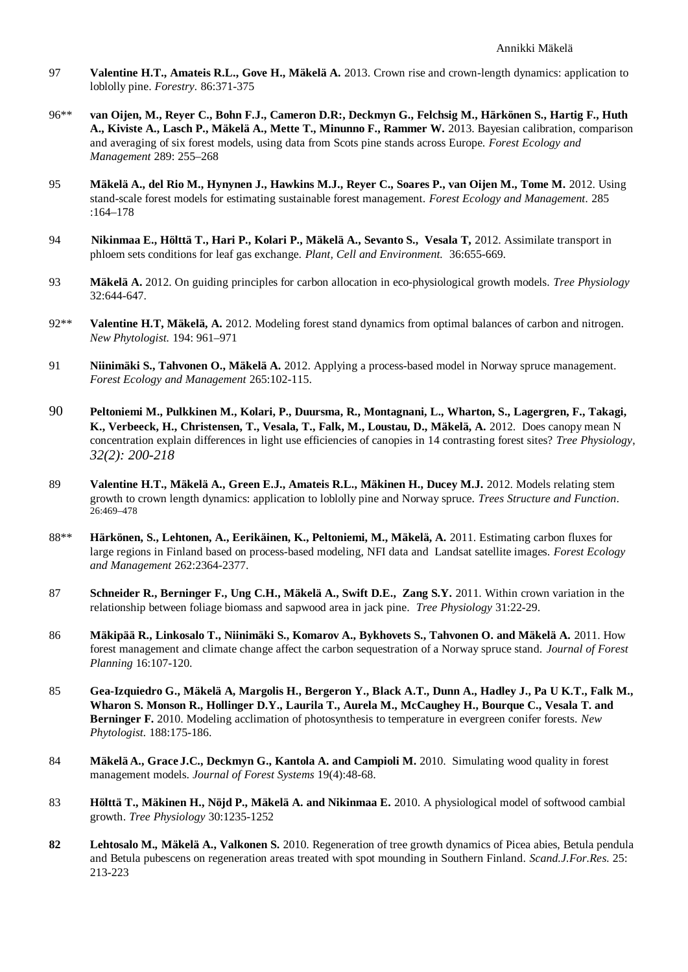- 97 **Valentine H.T., Amateis R.L., Gove H., Mäkelä A.** 2013. Crown rise and crown-length dynamics: application to loblolly pine. *Forestry.* 86:371-375
- 96\*\* **van Oijen, M., Reyer C., Bohn F.J., Cameron D.R:, Deckmyn G., Felchsig M., Härkönen S., Hartig F., Huth A., Kiviste A., Lasch P., Mäkelä A., Mette T., Minunno F., Rammer W.** 2013. Bayesian calibration, comparison and averaging of six forest models, using data from Scots pine stands across Europe. *Forest Ecology and Management* 289: 255–268
- 95 **Mäkelä A., del Rio M., Hynynen J., Hawkins M.J., Reyer C., Soares P., van Oijen M., Tome M.** 2012. Using stand-scale forest models for estimating sustainable forest management. *Forest Ecology and Management.* 285 :164–178
- 94 **Nikinmaa E., Hölttä T., Hari P., Kolari P., Mäkelä A., Sevanto S., Vesala T,** 2012. Assimilate transport in phloem sets conditions for leaf gas exchange. *Plant, Cell and Environment.* 36:655-669*.*
- 93 **Mäkelä A.** 2012. On guiding principles for carbon allocation in eco-physiological growth models. *Tree Physiology* 32:644-647.
- 92\*\* **Valentine H.T, Mäkelä, A.** 2012. Modeling forest stand dynamics from optimal balances of carbon and nitrogen. *New Phytologist.* 194: 961–971
- 91 **Niinimäki S., Tahvonen O., Mäkelä A.** 2012. Applying a process-based model in Norway spruce management. *Forest Ecology and Management* 265:102-115.
- 90 **Peltoniemi M., Pulkkinen M., Kolari, P., Duursma, R., Montagnani, L., Wharton, S., Lagergren, F., Takagi, K., Verbeeck, H., Christensen, T., Vesala, T., Falk, M., Loustau, D., Mäkelä, A.** 2012. Does canopy mean N concentration explain differences in light use efficiencies of canopies in 14 contrasting forest sites? *Tree Physiology*, *32(2): 200-218*
- 89 **Valentine H.T., Mäkelä A., Green E.J., Amateis R.L., Mäkinen H., Ducey M.J.** 2012. Models relating stem growth to crown length dynamics: application to loblolly pine and Norway spruce. *Trees Structure and Function*. 26:469–478
- 88\*\* **Härkönen, S., Lehtonen, A., Eerikäinen, K., Peltoniemi, M., Mäkelä, A.** 2011. Estimating carbon fluxes for large regions in Finland based on process-based modeling, NFI data and Landsat satellite images. *Forest Ecology and Management* 262:2364-2377.
- 87 **Schneider R., Berninger F., Ung C.H., Mäkelä A., Swift D.E., Zang S.Y.** 2011. Within crown variation in the relationship between foliage biomass and sapwood area in jack pine. *Tree Physiology* 31:22-29.
- 86 **Mäkipää R., Linkosalo T., Niinimäki S., Komarov A., Bykhovets S., Tahvonen O. and Mäkelä A.** 2011. How forest management and climate change affect the carbon sequestration of a Norway spruce stand. *Journal of Forest Planning* 16:107-120.
- 85 **Gea-Izquiedro G., Mäkelä A, Margolis H., Bergeron Y., Black A.T., Dunn A., Hadley J., Pa U K.T., Falk M., Wharon S. Monson R., Hollinger D.Y., Laurila T., Aurela M., McCaughey H., Bourque C., Vesala T. and Berninger F.** 2010. Modeling acclimation of photosynthesis to temperature in evergreen conifer forests. *New Phytologist.* 188:175-186.
- 84 **Mäkelä A., Grace J.C., Deckmyn G., Kantola A. and Campioli M.** 2010. Simulating wood quality in forest management models. *Journal of Forest Systems* 19(4):48-68.
- 83 **Hölttä T., Mäkinen H., Nöjd P., Mäkelä A. and Nikinmaa E.** 2010. A physiological model of softwood cambial growth. *Tree Physiology* 30:1235-1252
- **82 Lehtosalo M.***,* **Mäkelä A., Valkonen S.** 2010. Regeneration of tree growth dynamics of Picea abies, Betula pendula and Betula pubescens on regeneration areas treated with spot mounding in Southern Finland. *Scand.J.For.Res.* 25: 213-223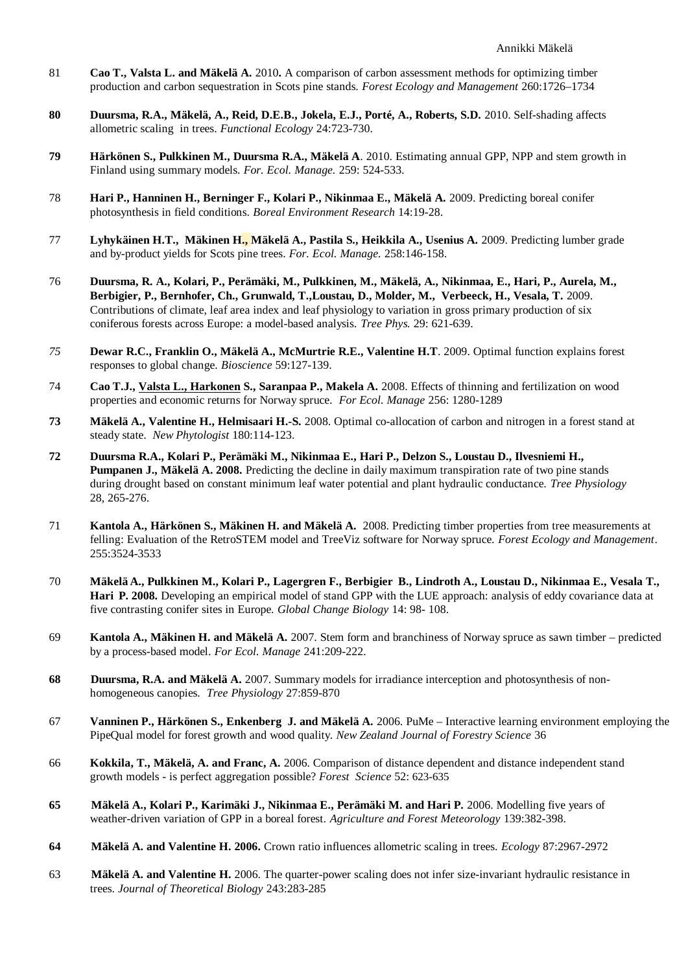- 81 **Cao T., Valsta L. and Mäkelä A.** 2010**.** A comparison of carbon assessment methods for optimizing timber production and carbon sequestration in Scots pine stands. *Forest Ecology and Management* 260:1726–1734
- **80 Duursma, R.A., Mäkelä, A., Reid, D.E.B., Jokela, E.J., Porté, A., Roberts, S.D.** 2010. Self-shading affects allometric scaling in trees. *Functional Ecology* 24:723-730.
- **79 Härkönen S., Pulkkinen M., Duursma R.A., Mäkelä A**. 2010. Estimating annual GPP, NPP and stem growth in Finland using summary models. *For. Ecol. Manage.* 259: 524-533*.*
- 78 **Hari P., Hanninen H., Berninger F., Kolari P., Nikinmaa E., Mäkelä A.** 2009. Predicting boreal conifer photosynthesis in field conditions. *Boreal Environment Research* 14:19-28.
- 77 **Lyhykäinen H.T., Mäkinen H., Mäkelä A., Pastila S., Heikkila A., Usenius A.** 2009. Predicting lumber grade and by-product yields for Scots pine trees. *For. Ecol. Manage.* 258:146-158.
- 76 **Duursma, R. A., Kolari, P., Perämäki, M., Pulkkinen, M., Mäkelä, A., Nikinmaa, E., Hari, P., Aurela, M., Berbigier, P., Bernhofer, Ch., Grunwald, T.,Loustau, D., Molder, M., Verbeeck, H., Vesala, T.** 2009. Contributions of climate, leaf area index and leaf physiology to variation in gross primary production of six coniferous forests across Europe: a model-based analysis. *Tree Phys.* 29: 621-639.
- *75* **Dewar R.C., Franklin O., Mäkelä A., McMurtrie R.E., Valentine H.T**. 2009. Optimal function explains forest responses to global change. *Bioscience* 59:127-139.
- 74 **Cao T.J., Valsta L., Harkonen S., Saranpaa P., Makela A.** 2008. Effects of thinning and fertilization on wood properties and economic returns for Norway spruce. *For Ecol. Manage* 256: 1280-1289
- **73 Mäkelä A., Valentine H., Helmisaari H.-S.** 2008. Optimal co-allocation of carbon and nitrogen in a forest stand at steady state. *New Phytologist* 180:114-123.
- **72 Duursma R.A., Kolari P., Perämäki M., Nikinmaa E., Hari P., Delzon S., Loustau D., Ilvesniemi H., Pumpanen J., Mäkelä A. 2008.** Predicting the decline in daily maximum transpiration rate of two pine stands during drought based on constant minimum leaf water potential and plant hydraulic conductance. *Tree Physiology* 28, 265-276.
- 71 **Kantola A., Härkönen S., Mäkinen H. and Mäkelä A.** 2008. Predicting timber properties from tree measurements at felling: Evaluation of the RetroSTEM model and TreeViz software for Norway spruce. *Forest Ecology and Management*. 255:3524-3533
- 70 **Mäkelä A., Pulkkinen M., Kolari P., Lagergren F., Berbigier B., Lindroth A., Loustau D., Nikinmaa E., Vesala T., Hari P. 2008.** Developing an empirical model of stand GPP with the LUE approach: analysis of eddy covariance data at five contrasting conifer sites in Europe. *Global Change Biology* 14: 98- 108.
- 69 **Kantola A., Mäkinen H. and Mäkelä A.** 2007. Stem form and branchiness of Norway spruce as sawn timber predicted by a process-based model. *For Ecol. Manage* 241:209-222.
- **68 Duursma, R.A. and Mäkelä A.** 2007. Summary models for irradiance interception and photosynthesis of nonhomogeneous canopies. *Tree Physiology* 27:859-870
- 67 **Vanninen P., Härkönen S., Enkenberg J. and Mäkelä A.** 2006. PuMe Interactive learning environment employing the PipeQual model for forest growth and wood quality. *New Zealand Journal of Forestry Science* 36
- 66 **Kokkila, T., Mäkelä, A. and Franc, A.** 2006. Comparison of distance dependent and distance independent stand growth models - is perfect aggregation possible? *Forest Science* 52: 623-635
- **65 Mäkelä A., Kolari P., Karimäki J., Nikinmaa E., Perämäki M. and Hari P.** 2006. Modelling five years of weather-driven variation of GPP in a boreal forest. *Agriculture and Forest Meteorology* 139:382-398.
- **64 Mäkelä A. and Valentine H. 2006.** Crown ratio influences allometric scaling in trees. *Ecology* 87:2967-2972
- 63 **Mäkelä A. and Valentine H.** 2006. The quarter-power scaling does not infer size-invariant hydraulic resistance in trees. *Journal of Theoretical Biology* 243:283-285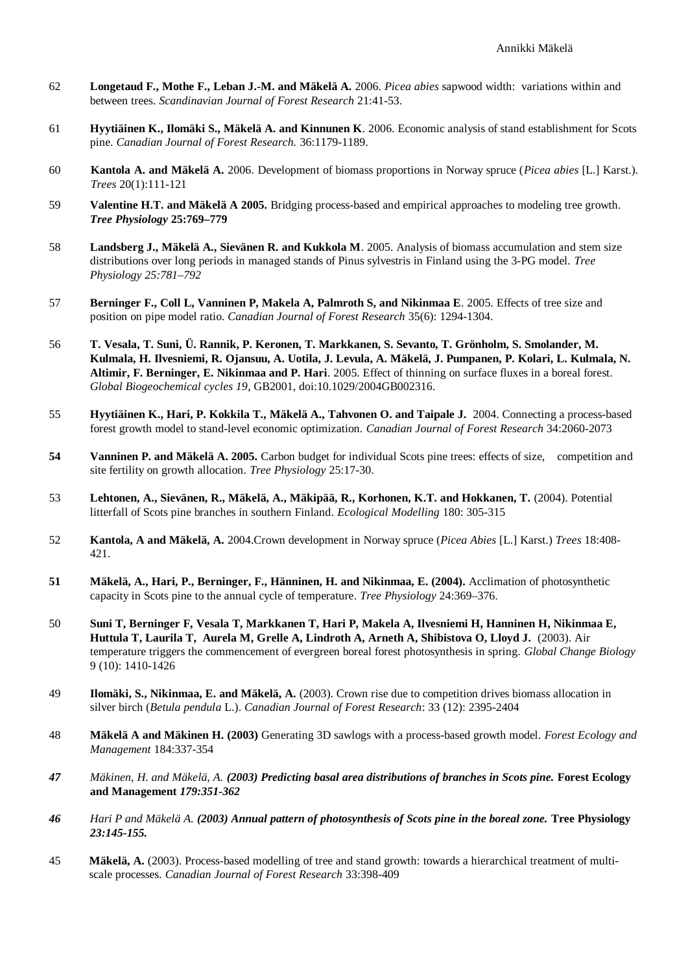- 62 **Longetaud F., Mothe F., Leban J.-M. and Mäkelä A.** 2006. *Picea abies* sapwood width: variations within and between trees. *Scandinavian Journal of Forest Research* 21:41-53.
- 61 **Hyytiäinen K., Ilomäki S., Mäkelä A. and Kinnunen K**. 2006. Economic analysis of stand establishment for Scots pine. *Canadian Journal of Forest Research.* 36:1179-1189.
- 60 **Kantola A. and Mäkelä A.** 2006. Development of biomass proportions in Norway spruce (*Picea abies* [L.] Karst.). *Trees* 20(1):111-121
- 59 **Valentine H.T. and Mäkelä A 2005.** Bridging process-based and empirical approaches to modeling tree growth. *Tree Physiology* **25:769–779**
- 58 **Landsberg J., Mäkelä A., Sievänen R. and Kukkola M**. 2005. Analysis of biomass accumulation and stem size distributions over long periods in managed stands of Pinus sylvestris in Finland using the 3-PG model. *Tree Physiology 25:781–792*
- 57 **Berninger F., Coll L, Vanninen P, Makela A, Palmroth S, and Nikinmaa E**. 2005. Effects of tree size and position on pipe model ratio. *Canadian Journal of Forest Research* 35(6): 1294-1304.
- 56 **T. Vesala, T. Suni, Ü. Rannik, P. Keronen, T. Markkanen, S. Sevanto, T. Grönholm, S. Smolander, M. Kulmala, H. Ilvesniemi, R. Ojansuu, A. Uotila, J. Levula, A. Mäkelä, J. Pumpanen, P. Kolari, L. Kulmala, N. Altimir, F. Berninger, E. Nikinmaa and P. Hari**. 2005. Effect of thinning on surface fluxes in a boreal forest. *Global Biogeochemical cycles 19*, GB2001, doi:10.1029/2004GB002316.
- 55 **Hyytiäinen K., Hari, P. Kokkila T., Mäkelä A., Tahvonen O. and Taipale J.** 2004. Connecting a process-based forest growth model to stand-level economic optimization. *Canadian Journal of Forest Research* 34:2060-2073
- **54 Vanninen P. and Mäkelä A. 2005.** Carbon budget for individual Scots pine trees: effects of size, competition and site fertility on growth allocation. *Tree Physiology* 25:17-30.
- 53 **Lehtonen, A., Sievänen, R., Mäkelä, A., Mäkipää, R., Korhonen, K.T. and Hokkanen, T.** (2004). Potential litterfall of Scots pine branches in southern Finland. *Ecological Modelling* 180: 305-315
- 52 **Kantola, A and Mäkelä, A.** 2004.Crown development in Norway spruce (*Picea Abies* [L.] Karst.) *Trees* 18:408- 421.
- **51 Mäkelä, A., Hari, P., Berninger, F., Hänninen, H. and Nikinmaa, E. (2004).** Acclimation of photosynthetic capacity in Scots pine to the annual cycle of temperature. *Tree Physiology* 24:369–376.
- 50 **Suni T, Berninger F, Vesala T, Markkanen T, Hari P, Makela A, Ilvesniemi H, Hanninen H, Nikinmaa E, Huttula T, Laurila T, Aurela M, Grelle A, Lindroth A, Arneth A, Shibistova O, Lloyd J.** (2003). Air temperature triggers the commencement of evergreen boreal forest photosynthesis in spring. *Global Change Biology* 9 (10): 1410-1426
- 49 **Ilomäki, S., Nikinmaa, E. and Mäkelä, A.** (2003). Crown rise due to competition drives biomass allocation in silver birch (*Betula pendula* L.). *Canadian Journal of Forest Research*: 33 (12): 2395-2404
- 48 **Mäkelä A and Mäkinen H. (2003)** Generating 3D sawlogs with a process-based growth model. *Forest Ecology and Management* 184:337-354
- *47 Mäkinen, H. and Mäkelä, A. (2003) Predicting basal area distributions of branches in Scots pine.* **Forest Ecology and Management** *179:351-362*
- *46 Hari P and Mäkelä A. (2003) Annual pattern of photosynthesis of Scots pine in the boreal zone.* **Tree Physiology** *23:145-155.*
- 45 **Mäkelä, A.** (2003). Process-based modelling of tree and stand growth: towards a hierarchical treatment of multiscale processes. *Canadian Journal of Forest Research* 33:398-409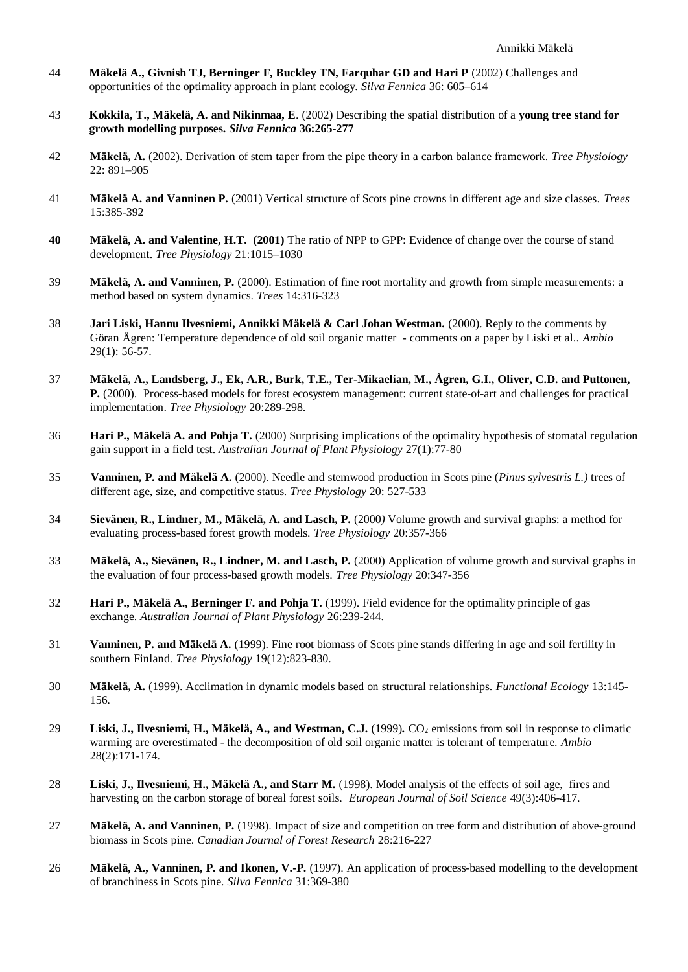- 44 **Mäkelä A., Givnish TJ, Berninger F, Buckley TN, Farquhar GD and Hari P** (2002) Challenges and opportunities of the optimality approach in plant ecology. *Silva Fennica* 36: 605–614
- 43 **Kokkila, T., Mäkelä, A. and Nikinmaa, E**. (2002) Describing the spatial distribution of a **young tree stand for growth modelling purposes.** *Silva Fennica* **36:265-277**
- 42 **Mäkelä, A.** (2002). Derivation of stem taper from the pipe theory in a carbon balance framework. *Tree Physiology* 22: 891–905
- 41 **Mäkelä A. and Vanninen P.** (2001) Vertical structure of Scots pine crowns in different age and size classes. *Trees* 15:385-392
- **40 Mäkelä, A. and Valentine, H.T. (2001)** The ratio of NPP to GPP: Evidence of change over the course of stand development. *Tree Physiology* 21:1015–1030
- 39 **Mäkelä, A. and Vanninen, P.** (2000). Estimation of fine root mortality and growth from simple measurements: a method based on system dynamics. *Trees* 14:316-323
- 38 **Jari Liski, Hannu Ilvesniemi, Annikki Mäkelä & Carl Johan Westman.** (2000). Reply to the comments by Göran Ågren: Temperature dependence of old soil organic matter - comments on a paper by Liski et al.. *Ambio* 29(1): 56-57.
- 37 **Mäkelä, A., Landsberg, J., Ek, A.R., Burk, T.E., Ter-Mikaelian, M., Ågren, G.I., Oliver, C.D. and Puttonen, P.** (2000). Process-based models for forest ecosystem management: current state-of-art and challenges for practical implementation. *Tree Physiology* 20:289-298*.*
- 36 **Hari P., Mäkelä A. and Pohja T.** (2000) Surprising implications of the optimality hypothesis of stomatal regulation gain support in a field test. *Australian Journal of Plant Physiology* 27(1):77-80
- 35 **Vanninen, P. and Mäkelä A.** (2000)*.* Needle and stemwood production in Scots pine (*Pinus sylvestris L.)* trees of different age, size, and competitive status. *Tree Physiology* 20: 527-533
- 34 **Sievänen, R., Lindner, M., Mäkelä, A. and Lasch, P.** (2000*)* Volume growth and survival graphs: a method for evaluating process-based forest growth models. *Tree Physiology* 20:357-366
- 33 **Mäkelä, A., Sievänen, R., Lindner, M. and Lasch, P.** (2000) Application of volume growth and survival graphs in the evaluation of four process-based growth models. *Tree Physiology* 20:347-356
- 32 **Hari P., Mäkelä A., Berninger F. and Pohja T.** (1999). Field evidence for the optimality principle of gas exchange. *Australian Journal of Plant Physiology* 26:239-244.
- 31 **Vanninen, P. and Mäkelä A.** (1999). Fine root biomass of Scots pine stands differing in age and soil fertility in southern Finland. *Tree Physiology* 19(12):823-830.
- 30 **Mäkelä, A.** (1999). Acclimation in dynamic models based on structural relationships. *Functional Ecology* 13:145- 156*.*
- 29 **Liski, J., Ilvesniemi, H., Mäkelä, A., and Westman, C.J.** (1999). CO<sub>2</sub> emissions from soil in response to climatic warming are overestimated - the decomposition of old soil organic matter is tolerant of temperature. *Ambio* 28(2):171-174.
- 28 **Liski, J., Ilvesniemi, H., Mäkelä A., and Starr M.** (1998). Model analysis of the effects of soil age, fires and harvesting on the carbon storage of boreal forest soils. *European Journal of Soil Science* 49(3):406-417*.*
- 27 **Mäkelä, A. and Vanninen, P.** (1998). Impact of size and competition on tree form and distribution of above-ground biomass in Scots pine. *Canadian Journal of Forest Research* 28:216-227
- 26 **Mäkelä, A., Vanninen, P. and Ikonen, V.-P.** (1997). An application of process-based modelling to the development of branchiness in Scots pine. *Silva Fennica* 31:369-380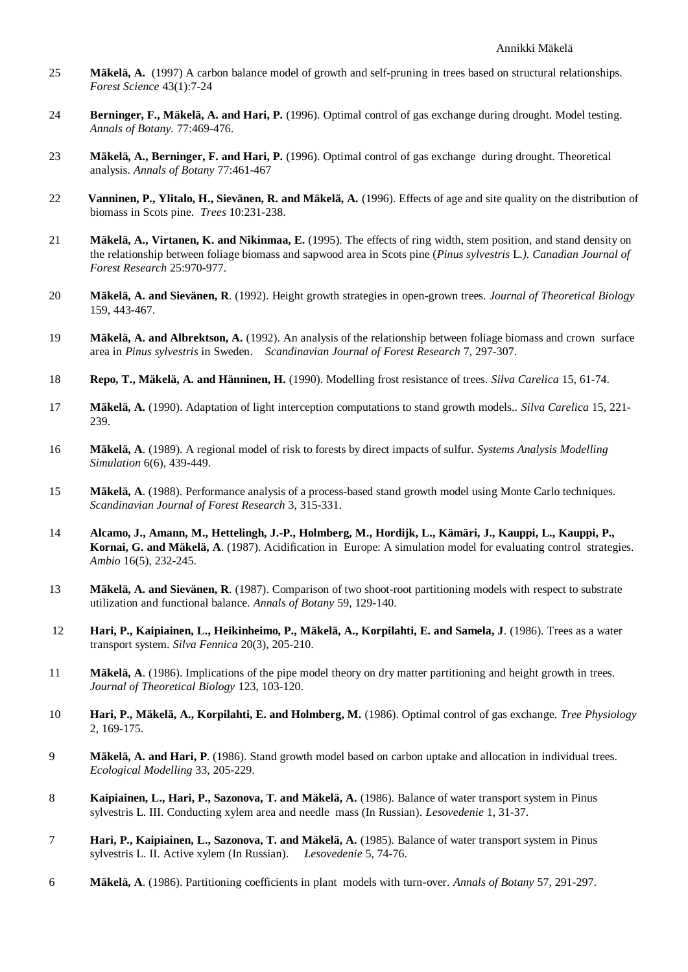- 25 **Mäkelä, A.** (1997) A carbon balance model of growth and self-pruning in trees based on structural relationships. *Forest Science* 43(1):7-24
- 24 **Berninger, F., Mäkelä, A. and Hari, P.** (1996). Optimal control of gas exchange during drought. Model testing. *Annals of Botany.* 77:469-476.
- 23 **Mäkelä, A., Berninger, F. and Hari, P.** (1996). Optimal control of gas exchange during drought. Theoretical analysis. *Annals of Botany* 77:461-467
- 22 **Vanninen, P., Ylitalo, H., Sievänen, R. and Mäkelä, A.** (1996). Effects of age and site quality on the distribution of biomass in Scots pine. *Trees* 10:231-238.
- 21 **Mäkelä, A., Virtanen, K. and Nikinmaa, E.** (1995). The effects of ring width, stem position, and stand density on the relationship between foliage biomass and sapwood area in Scots pine (*Pinus sylvestris* L*.). Canadian Journal of Forest Research* 25:970-977.
- 20 **Mäkelä, A. and Sievänen, R**. (1992). Height growth strategies in open-grown trees. *Journal of Theoretical Biology* 159, 443-467.
- 19 **Mäkelä, A. and Albrektson, A.** (1992). An analysis of the relationship between foliage biomass and crown surface area in *Pinus sylvestris* in Sweden. *Scandinavian Journal of Forest Research* 7, 297-307.
- 18 **Repo, T., Mäkelä, A. and Hänninen, H.** (1990). Modelling frost resistance of trees. *Silva Carelica* 15, 61-74.
- 17 **Mäkelä, A.** (1990). Adaptation of light interception computations to stand growth models.. *Silva Carelica* 15, 221- 239.
- 16 **Mäkelä, A**. (1989). A regional model of risk to forests by direct impacts of sulfur. *Systems Analysis Modelling Simulation* 6(6), 439-449.
- 15 **Mäkelä, A**. (1988). Performance analysis of a process-based stand growth model using Monte Carlo techniques. *Scandinavian Journal of Forest Research* 3, 315-331.
- 14 **Alcamo, J., Amann, M., Hettelingh, J.-P., Holmberg, M., Hordijk, L., Kämäri, J., Kauppi, L., Kauppi, P., Kornai, G. and Mäkelä, A**. (1987). Acidification in Europe: A simulation model for evaluating control strategies. *Ambio* 16(5), 232-245.
- 13 **Mäkelä, A. and Sievänen, R**. (1987). Comparison of two shoot-root partitioning models with respect to substrate utilization and functional balance. *Annals of Botany* 59, 129-140.
- 12 **Hari, P., Kaipiainen, L., Heikinheimo, P., Mäkelä, A., Korpilahti, E. and Samela, J**. (1986). Trees as a water transport system. *Silva Fennica* 20(3), 205-210.
- 11 **Mäkelä, A**. (1986). Implications of the pipe model theory on dry matter partitioning and height growth in trees. *Journal of Theoretical Biology* 123, 103-120.
- 10 **Hari, P., Mäkelä, A., Korpilahti, E. and Holmberg, M.** (1986). Optimal control of gas exchange. *Tree Physiology* 2, 169-175.
- 9 **Mäkelä, A. and Hari, P**. (1986). Stand growth model based on carbon uptake and allocation in individual trees. *Ecological Modelling* 33, 205-229.
- 8 **Kaipiainen, L., Hari, P., Sazonova, T. and Mäkelä, A.** (1986). Balance of water transport system in Pinus sylvestris L. III. Conducting xylem area and needle mass (In Russian)*. Lesovedenie* 1, 31-37.
- 7 **Hari, P., Kaipiainen, L., Sazonova, T. and Mäkelä, A.** (1985). Balance of water transport system in Pinus sylvestris L. II. Active xylem (In Russian). *Lesovedenie* 5, 74-76.
- 6 **Mäkelä, A**. (1986). Partitioning coefficients in plant models with turn-over. *Annals of Botany* 57, 291-297.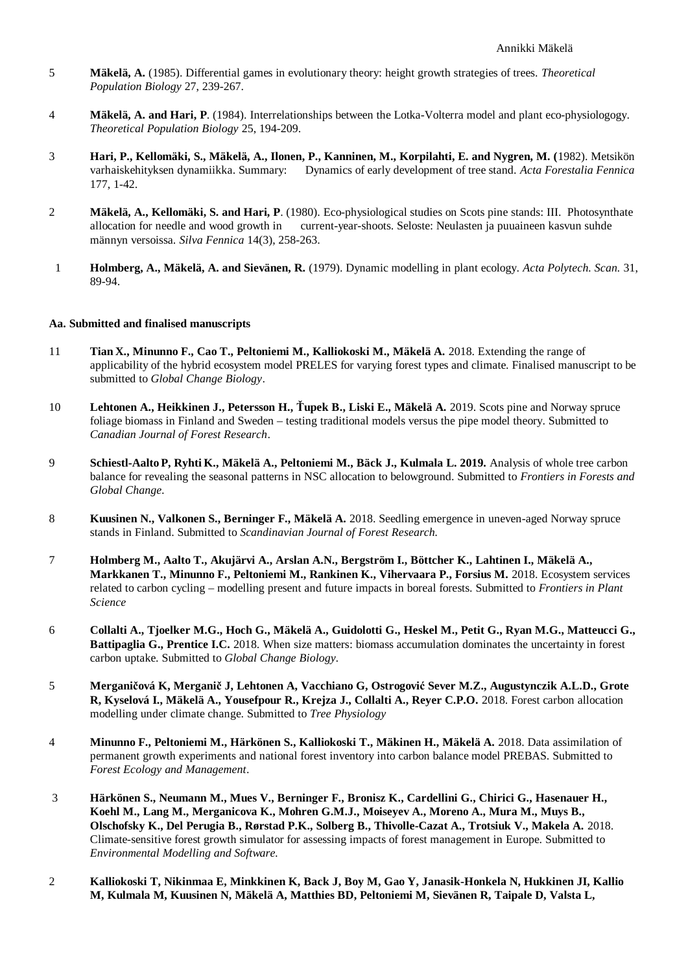- 5 **Mäkelä, A.** (1985). Differential games in evolutionary theory: height growth strategies of trees. *Theoretical Population Biology* 27, 239-267.
- 4 **Mäkelä, A. and Hari, P**. (1984). Interrelationships between the Lotka-Volterra model and plant eco-physiologogy. *Theoretical Population Biology* 25, 194-209.
- 3 **Hari, P., Kellomäki, S., Mäkelä, A., Ilonen, P., Kanninen, M., Korpilahti, E. and Nygren, M. (**1982). Metsikön varhaiskehityksen dynamiikka. Summary: Dynamics of early development of tree stand. *Acta Forestalia Fennica* 177, 1-42.
- 2 **Mäkelä, A., Kellomäki, S. and Hari, P**. (1980). Eco-physiological studies on Scots pine stands: III. Photosynthate allocation for needle and wood growth in current-year-shoots. Seloste: Neulasten ja puuaineen kasvun suhde männyn versoissa. *Silva Fennica* 14(3), 258-263.
- 1 **Holmberg, A., Mäkelä, A. and Sievänen, R.** (1979). Dynamic modelling in plant ecology. *Acta Polytech. Scan.* 31, 89-94.

#### **Aa. Submitted and finalised manuscripts**

- 11 **Tian X., Minunno F., Cao T., Peltoniemi M., Kalliokoski M., Mäkelä A.** 2018. Extending the range of applicability of the hybrid ecosystem model PRELES for varying forest types and climate. Finalised manuscript to be submitted to *Global Change Biology*.
- 10 **Lehtonen A., Heikkinen J., Petersson H., Ťupek B., Liski E., Mäkelä A.** 2019. Scots pine and Norway spruce foliage biomass in Finland and Sweden – testing traditional models versus the pipe model theory. Submitted to *Canadian Journal of Forest Research*.
- 9 **Schiestl-Aalto P, Ryhti K., Mäkelä A., Peltoniemi M., Bäck J., Kulmala L. 2019.** Analysis of whole tree carbon balance for revealing the seasonal patterns in NSC allocation to belowground. Submitted to *Frontiers in Forests and Global Change.*
- 8 **Kuusinen N., Valkonen S., Berninger F., Mäkelä A.** 2018. Seedling emergence in uneven-aged Norway spruce stands in Finland. Submitted to *Scandinavian Journal of Forest Research.*
- 7 **Holmberg M., Aalto T., Akujärvi A., Arslan A.N., Bergström I., Böttcher K., Lahtinen I., Mäkelä A., Markkanen T., Minunno F., Peltoniemi M., Rankinen K., Vihervaara P., Forsius M.** 2018. Ecosystem services related to carbon cycling – modelling present and future impacts in boreal forests. Submitted to *Frontiers in Plant Science*
- 6 **Collalti A., Tjoelker M.G., Hoch G., Mäkelä A., Guidolotti G., Heskel M., Petit G., Ryan M.G., Matteucci G., Battipaglia G., Prentice I.C.** 2018. When size matters: biomass accumulation dominates the uncertainty in forest carbon uptake. Submitted to *Global Change Biology.*
- 5 **Merganičová K, Merganič J, Lehtonen A, Vacchiano G, Ostrogović Sever M.Z., Augustynczik A.L.D., Grote R, Kyselová I., Mäkelä A., Yousefpour R., Krejza J., Collalti A., Reyer C.P.O.** 2018. Forest carbon allocation modelling under climate change. Submitted to *Tree Physiology*
- 4 **Minunno F., Peltoniemi M., Härkönen S., Kalliokoski T., Mäkinen H., Mäkelä A.** 2018. Data assimilation of permanent growth experiments and national forest inventory into carbon balance model PREBAS. Submitted to *Forest Ecology and Management*.
- 3 **Härkönen S., Neumann M., Mues V., Berninger F., Bronisz K., Cardellini G., Chirici G., Hasenauer H., Koehl M., Lang M., Merganicova K., Mohren G.M.J., Moiseyev A., Moreno A., Mura M., Muys B., Olschofsky K., Del Perugia B., Rørstad P.K., Solberg B., Thivolle-Cazat A., Trotsiuk V., Makela A.** 2018. Climate-sensitive forest growth simulator for assessing impacts of forest management in Europe. Submitted to *Environmental Modelling and Software.*
- 2 **Kalliokoski T, Nikinmaa E, Minkkinen K, Back J, Boy M, Gao Y, Janasik-Honkela N, Hukkinen JI, Kallio M, Kulmala M, Kuusinen N, Mäkelä A, Matthies BD, Peltoniemi M, Sievänen R, Taipale D, Valsta L,**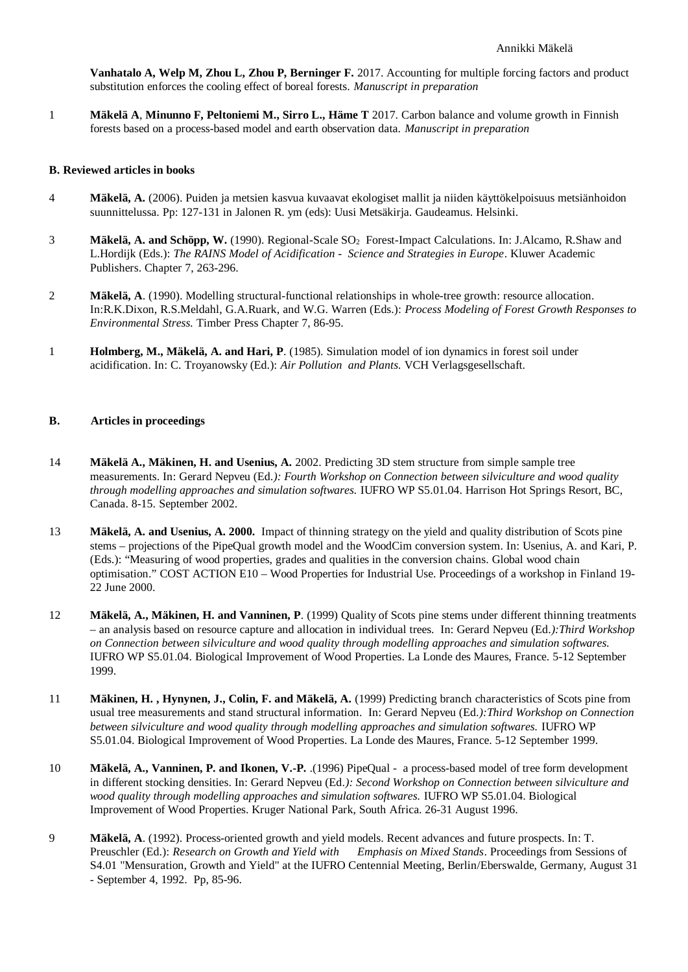**Vanhatalo A, Welp M, Zhou L, Zhou P, Berninger F.** 2017. Accounting for multiple forcing factors and product substitution enforces the cooling effect of boreal forests. *Manuscript in preparation*

1 **Mäkelä A**, **Minunno F, Peltoniemi M., Sirro L., Häme T** 2017. Carbon balance and volume growth in Finnish forests based on a process-based model and earth observation data. *Manuscript in preparation*

## **B. Reviewed articles in books**

- 4 **Mäkelä, A.** (2006). Puiden ja metsien kasvua kuvaavat ekologiset mallit ja niiden käyttökelpoisuus metsiänhoidon suunnittelussa. Pp: 127-131 in Jalonen R. ym (eds): Uusi Metsäkirja. Gaudeamus. Helsinki.
- 3 **Mäkelä, A. and Schöpp, W.** (1990). Regional-Scale SO2 Forest-Impact Calculations. In: J.Alcamo, R.Shaw and L.Hordijk (Eds.): *The RAINS Model of Acidification - Science and Strategies in Europe*. Kluwer Academic Publishers. Chapter 7, 263-296.
- 2 **Mäkelä, A**. (1990). Modelling structural-functional relationships in whole-tree growth: resource allocation. In:R.K.Dixon, R.S.Meldahl, G.A.Ruark, and W.G. Warren (Eds.): *Process Modeling of Forest Growth Responses to Environmental Stress.* Timber Press Chapter 7, 86-95.
- 1 **Holmberg, M., Mäkelä, A. and Hari, P**. (1985). Simulation model of ion dynamics in forest soil under acidification. In: C. Troyanowsky (Ed.): *Air Pollution and Plants.* VCH Verlagsgesellschaft.

## **B. Articles in proceedings**

- 14 **Mäkelä A., Mäkinen, H. and Usenius, A.** 2002. Predicting 3D stem structure from simple sample tree measurements. In: Gerard Nepveu (Ed*.): Fourth Workshop on Connection between silviculture and wood quality through modelling approaches and simulation softwares.* IUFRO WP S5.01.04. Harrison Hot Springs Resort, BC, Canada. 8-15. September 2002.
- 13 **Mäkelä, A. and Usenius, A. 2000.** Impact of thinning strategy on the yield and quality distribution of Scots pine stems – projections of the PipeQual growth model and the WoodCim conversion system. In: Usenius, A. and Kari, P. (Eds.): "Measuring of wood properties, grades and qualities in the conversion chains. Global wood chain optimisation." COST ACTION E10 – Wood Properties for Industrial Use. Proceedings of a workshop in Finland 19- 22 June 2000.
- 12 **Mäkelä, A., Mäkinen, H. and Vanninen, P**. (1999) Quality of Scots pine stems under different thinning treatments – an analysis based on resource capture and allocation in individual trees. In: Gerard Nepveu (Ed*.):Third Workshop on Connection between silviculture and wood quality through modelling approaches and simulation softwares.* IUFRO WP S5.01.04. Biological Improvement of Wood Properties. La Londe des Maures, France. 5-12 September 1999.
- 11 **Mäkinen, H. , Hynynen, J., Colin, F. and Mäkelä, A.** (1999) Predicting branch characteristics of Scots pine from usual tree measurements and stand structural information. In: Gerard Nepveu (Ed*.):Third Workshop on Connection between silviculture and wood quality through modelling approaches and simulation softwares.* IUFRO WP S5.01.04. Biological Improvement of Wood Properties. La Londe des Maures, France. 5-12 September 1999.
- 10 **Mäkelä, A., Vanninen, P. and Ikonen, V.-P.** .(1996) PipeQual a process-based model of tree form development in different stocking densities. In: Gerard Nepveu (Ed*.): Second Workshop on Connection between silviculture and wood quality through modelling approaches and simulation softwares.* IUFRO WP S5.01.04. Biological Improvement of Wood Properties. Kruger National Park, South Africa. 26-31 August 1996.
- 9 **Mäkelä, A**. (1992). Process-oriented growth and yield models. Recent advances and future prospects. In: T. Preuschler (Ed.): *Research on Growth and Yield with Emphasis on Mixed Stands*. Proceedings from Sessions of S4.01 "Mensuration, Growth and Yield" at the IUFRO Centennial Meeting, Berlin/Eberswalde, Germany, August 31 - September 4, 1992. Pp, 85-96.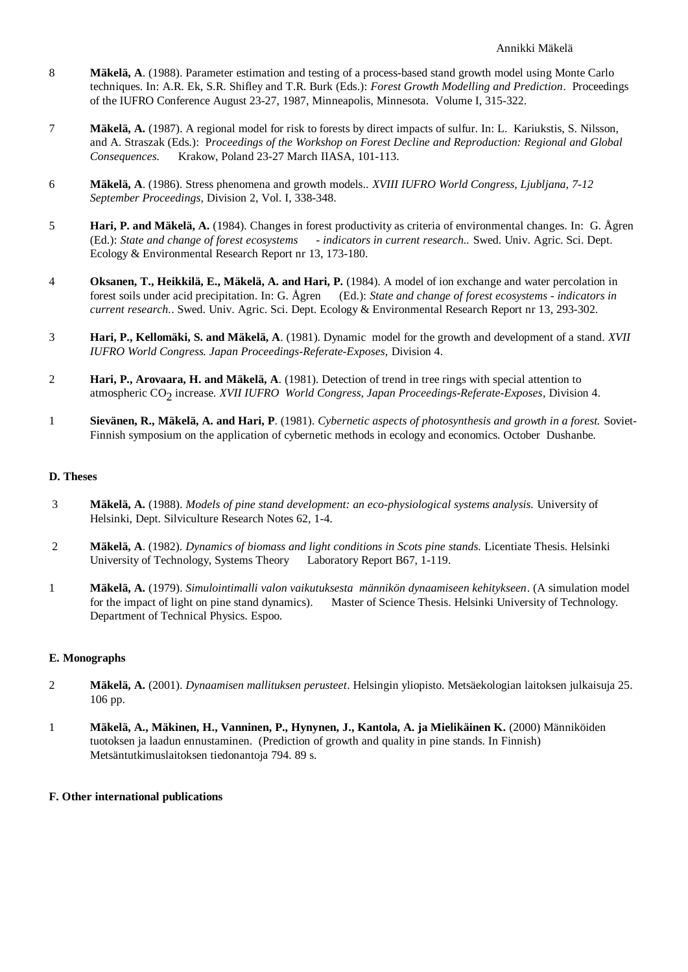- 8 **Mäkelä, A**. (1988). Parameter estimation and testing of a process-based stand growth model using Monte Carlo techniques. In: A.R. Ek, S.R. Shifley and T.R. Burk (Eds.): *Forest Growth Modelling and Prediction*. Proceedings of the IUFRO Conference August 23-27, 1987, Minneapolis, Minnesota. Volume I, 315-322.
- 7 **Mäkelä, A.** (1987). A regional model for risk to forests by direct impacts of sulfur. In: L. Kariukstis, S. Nilsson, and A. Straszak (Eds.): P*roceedings of the Workshop on Forest Decline and Reproduction: Regional and Global Consequences.* Krakow, Poland 23-27 March IIASA, 101-113.
- 6 **Mäkelä, A**. (1986). Stress phenomena and growth models.. *XVIII IUFRO World Congress, Ljubljana, 7-12 September Proceedings,* Division 2, Vol. I, 338-348.
- 5 **Hari, P. and Mäkelä, A.** (1984). Changes in forest productivity as criteria of environmental changes. In: G. Ågren (Ed.): *State and change of forest ecosystems - indicators in current research..* Swed. Univ. Agric. Sci. Dept. Ecology & Environmental Research Report nr 13, 173-180.
- 4 **Oksanen, T., Heikkilä, E., Mäkelä, A. and Hari, P.** (1984). A model of ion exchange and water percolation in forest soils under acid precipitation. In: G. Ågren (Ed.): *State and change of forest ecosystems - indicators in current research.*. Swed. Univ. Agric. Sci. Dept. Ecology & Environmental Research Report nr 13, 293-302.
- 3 **Hari, P., Kellomäki, S. and Mäkelä, A**. (1981). Dynamic model for the growth and development of a stand. *XVII IUFRO World Congress. Japan Proceedings-Referate-Exposes,* Division 4.
- 2 **Hari, P., Arovaara, H. and Mäkelä, A**. (1981). Detection of trend in tree rings with special attention to atmospheric CO2 increase. *XVII IUFRO World Congress, Japan Proceedings-Referate-Exposes*, Division 4.
- 1 **Sievänen, R., Mäkelä, A. and Hari, P**. (1981). *Cybernetic aspects of photosynthesis and growth in a forest.* Soviet-Finnish symposium on the application of cybernetic methods in ecology and economics. October Dushanbe.

## **D. Theses**

- 3 **Mäkelä, A.** (1988). *Models of pine stand development: an eco-physiological systems analysis.* University of Helsinki, Dept. Silviculture Research Notes 62, 1-4.
- 2 **Mäkelä, A**. (1982). *Dynamics of biomass and light conditions in Scots pine stands.* Licentiate Thesis. Helsinki University of Technology, Systems Theory Laboratory Report B67, 1-119.
- 1 **Mäkelä, A.** (1979). *Simulointimalli valon vaikutuksesta männikön dynaamiseen kehitykseen*. (A simulation model for the impact of light on pine stand dynamics). Master of Science Thesis. Helsinki University of Technology. Department of Technical Physics. Espoo.

## **E. Monographs**

- 2 **Mäkelä, A.** (2001). *Dynaamisen mallituksen perusteet*. Helsingin yliopisto. Metsäekologian laitoksen julkaisuja 25. 106 pp.
- 1 **Mäkelä, A., Mäkinen, H., Vanninen, P., Hynynen, J., Kantola, A. ja Mielikäinen K.** (2000) Männiköiden tuotoksen ja laadun ennustaminen. (Prediction of growth and quality in pine stands. In Finnish) Metsäntutkimuslaitoksen tiedonantoja 794. 89 s.

## **F. Other international publications**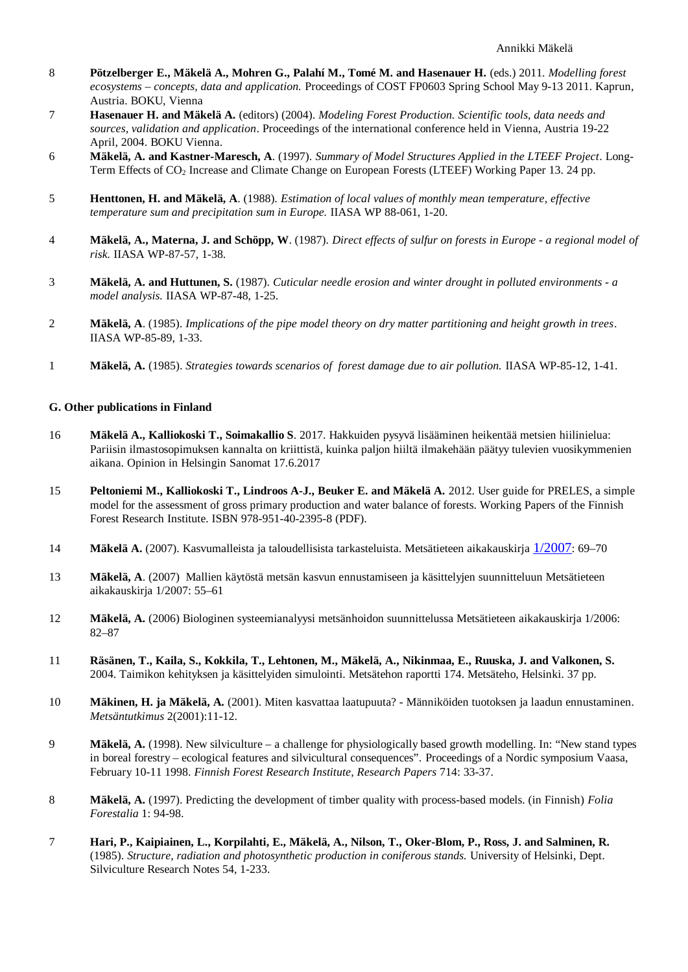- 8 **Pötzelberger E., Mäkelä A., Mohren G., Palahí M., Tomé M. and Hasenauer H.** (eds.) 2011. *Modelling forest ecosystems – concepts, data and application.* Proceedings of COST FP0603 Spring School May 9-13 2011. Kaprun, Austria. BOKU, Vienna
- 7 **Hasenauer H. and Mäkelä A.** (editors) (2004). *Modeling Forest Production. Scientific tools, data needs and sources, validation and application*. Proceedings of the international conference held in Vienna, Austria 19-22 April, 2004. BOKU Vienna.
- 6 **Mäkelä, A. and Kastner-Maresch, A**. (1997). *Summary of Model Structures Applied in the LTEEF Project*. Long-Term Effects of CO<sub>2</sub> Increase and Climate Change on European Forests (LTEEF) Working Paper 13. 24 pp.
- 5 **Henttonen, H. and Mäkelä, A**. (1988). *Estimation of local values of monthly mean temperature, effective temperature sum and precipitation sum in Europe.* IIASA WP 88-061, 1-20.
- 4 **Mäkelä, A., Materna, J. and Schöpp, W**. (1987). *Direct effects of sulfur on forests in Europe a regional model of risk.* IIASA WP-87-57, 1-38.
- 3 **Mäkelä, A. and Huttunen, S.** (1987). *Cuticular needle erosion and winter drought in polluted environments a model analysis.* IIASA WP-87-48, 1-25.
- 2 **Mäkelä, A**. (1985). *Implications of the pipe model theory on dry matter partitioning and height growth in trees*. IIASA WP-85-89, 1-33.
- 1 **Mäkelä, A.** (1985). *Strategies towards scenarios of forest damage due to air pollution.* IIASA WP-85-12, 1-41.

#### **G. Other publications in Finland**

- 16 **Mäkelä A., Kalliokoski T., Soimakallio S**. 2017. Hakkuiden pysyvä lisääminen heikentää metsien hiilinielua: Pariisin ilmastosopimuksen kannalta on kriittistä, kuinka paljon hiiltä ilmakehään päätyy tulevien vuosikymmenien aikana. Opinion in Helsingin Sanomat 17.6.2017
- 15 **Peltoniemi M., Kalliokoski T., Lindroos A-J., Beuker E. and Mäkelä A.** 2012. User guide for PRELES, a simple model for the assessment of gross primary production and water balance of forests. Working Papers of the Finnish Forest Research Institute. ISBN 978-951-40-2395-8 (PDF).
- 14 **Mäkelä A.** (2007). Kasvumalleista ja taloudellisista tarkasteluista. Metsätieteen aikakauskirja 1/2007: 69–70
- 13 **Mäkelä, A**. (2007) Mallien käytöstä metsän kasvun ennustamiseen ja käsittelyjen suunnitteluun Metsätieteen aikakauskirja 1/2007: 55–61
- 12 **Mäkelä, A.** (2006) Biologinen systeemianalyysi metsänhoidon suunnittelussa Metsätieteen aikakauskirja 1/2006: 82–87
- 11 **Räsänen, T., Kaila, S., Kokkila, T., Lehtonen, M., Mäkelä, A., Nikinmaa, E., Ruuska, J. and Valkonen, S.** 2004. Taimikon kehityksen ja käsittelyiden simulointi. Metsätehon raportti 174. Metsäteho, Helsinki. 37 pp.
- 10 **Mäkinen, H. ja Mäkelä, A.** (2001). Miten kasvattaa laatupuuta? Männiköiden tuotoksen ja laadun ennustaminen. *Metsäntutkimus* 2(2001):11-12.
- 9 **Mäkelä, A.** (1998). New silviculture a challenge for physiologically based growth modelling. In: "New stand types in boreal forestry – ecological features and silvicultural consequences". Proceedings of a Nordic symposium Vaasa, February 10-11 1998. *Finnish Forest Research Institute, Research Papers* 714: 33-37.
- 8 **Mäkelä, A.** (1997). Predicting the development of timber quality with process-based models. (in Finnish) *Folia Forestalia* 1: 94-98.
- 7 **Hari, P., Kaipiainen, L., Korpilahti, E., Mäkelä, A., Nilson, T., Oker-Blom, P., Ross, J. and Salminen, R.** (1985). *Structure, radiation and photosynthetic production in coniferous stands.* University of Helsinki, Dept. Silviculture Research Notes 54, 1-233.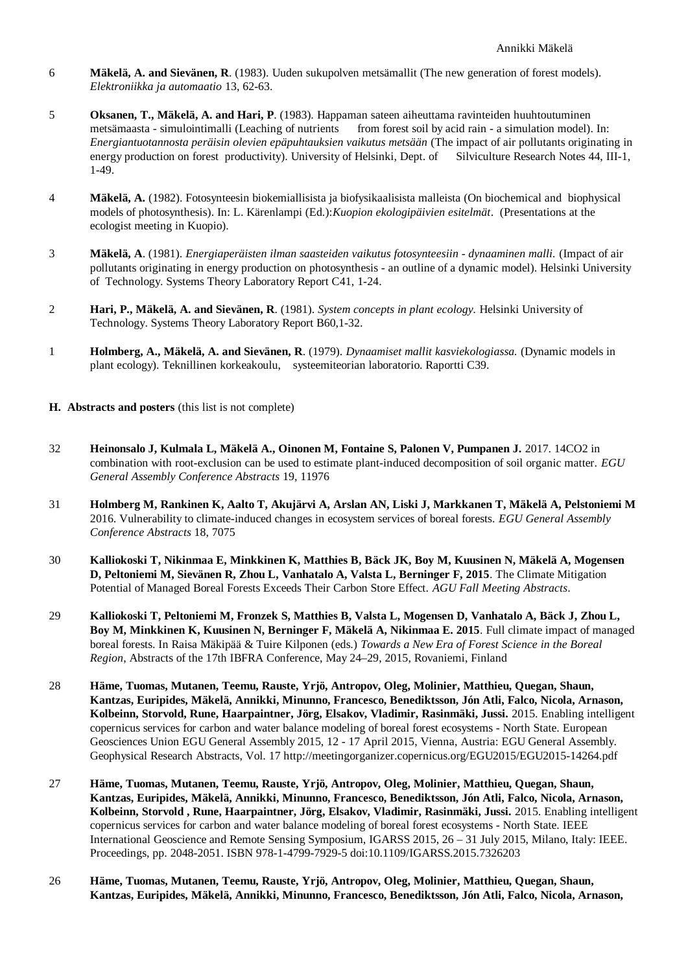- 6 **Mäkelä, A. and Sievänen, R**. (1983). Uuden sukupolven metsämallit (The new generation of forest models). *Elektroniikka ja automaatio* 13, 62-63.
- 5 **Oksanen, T., Mäkelä, A. and Hari, P**. (1983). Happaman sateen aiheuttama ravinteiden huuhtoutuminen metsämaasta - simulointimalli (Leaching of nutrients from forest soil by acid rain - a simulation model). In: *Energiantuotannosta peräisin olevien epäpuhtauksien vaikutus metsään* (The impact of air pollutants originating in energy production on forest productivity). University of Helsinki, Dept. of Silviculture Research Notes 44, III-1, 1-49.
- 4 **Mäkelä, A.** (1982). Fotosynteesin biokemiallisista ja biofysikaalisista malleista (On biochemical and biophysical models of photosynthesis). In: L. Kärenlampi (Ed.):*Kuopion ekologipäivien esitelmät*. (Presentations at the ecologist meeting in Kuopio).
- 3 **Mäkelä, A**. (1981). *Energiaperäisten ilman saasteiden vaikutus fotosynteesiin dynaaminen malli.* (Impact of air pollutants originating in energy production on photosynthesis - an outline of a dynamic model). Helsinki University of Technology. Systems Theory Laboratory Report C41, 1-24.
- 2 **Hari, P., Mäkelä, A. and Sievänen, R**. (1981). *System concepts in plant ecology.* Helsinki University of Technology. Systems Theory Laboratory Report B60,1-32.
- 1 **Holmberg, A., Mäkelä, A. and Sievänen, R**. (1979). *Dynaamiset mallit kasviekologiassa.* (Dynamic models in plant ecology). Teknillinen korkeakoulu, systeemiteorian laboratorio. Raportti C39.

## **H. Abstracts and posters** (this list is not complete)

- 32 **Heinonsalo J, Kulmala L, Mäkelä A., Oinonen M, Fontaine S, Palonen V, Pumpanen J.** 2017. 14CO2 in combination with root-exclusion can be used to estimate plant-induced decomposition of soil organic matter. *EGU General Assembly Conference Abstracts* 19, 11976
- 31 **Holmberg M, Rankinen K, Aalto T, Akujärvi A, Arslan AN, Liski J, Markkanen T, Mäkelä A, Pelstoniemi M** 2016. Vulnerability to climate-induced changes in ecosystem services of boreal forests. *EGU General Assembly Conference Abstracts* 18, 7075
- 30 **Kalliokoski T, Nikinmaa E, Minkkinen K, Matthies B, Bäck JK, Boy M, Kuusinen N, Mäkelä A, Mogensen D, Peltoniemi M, Sievänen R, Zhou L, Vanhatalo A, Valsta L, Berninger F, 2015**. The Climate Mitigation Potential of Managed Boreal Forests Exceeds Their Carbon Store Effect. *AGU Fall Meeting Abstracts*.
- 29 **Kalliokoski T, Peltoniemi M, Fronzek S, Matthies B, Valsta L, Mogensen D, Vanhatalo A, Bäck J, Zhou L, Boy M, Minkkinen K, Kuusinen N, Berninger F, Mäkelä A, Nikinmaa E. 2015**. Full climate impact of managed boreal forests. In Raisa Mäkipää & Tuire Kilponen (eds.) *Towards a New Era of Forest Science in the Boreal Region*, Abstracts of the 17th IBFRA Conference, May 24–29, 2015, Rovaniemi, Finland
- 28 **Häme, Tuomas, Mutanen, Teemu, Rauste, Yrjö, Antropov, Oleg, Molinier, Matthieu, Quegan, Shaun, Kantzas, Euripides, Mäkelä, Annikki, Minunno, Francesco, Benediktsson, Jón Atli, Falco, Nicola, Arnason, Kolbeinn, Storvold, Rune, Haarpaintner, Jörg, Elsakov, Vladimir, Rasinmäki, Jussi.** 2015. Enabling intelligent copernicus services for carbon and water balance modeling of boreal forest ecosystems - North State. European Geosciences Union EGU General Assembly 2015, 12 - 17 April 2015, Vienna, Austria: EGU General Assembly. Geophysical Research Abstracts, Vol. 17 http://meetingorganizer.copernicus.org/EGU2015/EGU2015-14264.pdf
- 27 **Häme, Tuomas, Mutanen, Teemu, Rauste, Yrjö, Antropov, Oleg, Molinier, Matthieu, Quegan, Shaun, Kantzas, Euripides, Mäkelä, Annikki, Minunno, Francesco, Benediktsson, Jón Atli, Falco, Nicola, Arnason, Kolbeinn, Storvold , Rune, Haarpaintner, Jörg, Elsakov, Vladimir, Rasinmäki, Jussi.** 2015. Enabling intelligent copernicus services for carbon and water balance modeling of boreal forest ecosystems - North State. IEEE International Geoscience and Remote Sensing Symposium, IGARSS 2015, 26 – 31 July 2015, Milano, Italy: IEEE. Proceedings, pp. 2048-2051. ISBN 978-1-4799-7929-5 doi:10.1109/IGARSS.2015.7326203
- 26 **Häme, Tuomas, Mutanen, Teemu, Rauste, Yrjö, Antropov, Oleg, Molinier, Matthieu, Quegan, Shaun, Kantzas, Euripides, Mäkelä, Annikki, Minunno, Francesco, Benediktsson, Jón Atli, Falco, Nicola, Arnason,**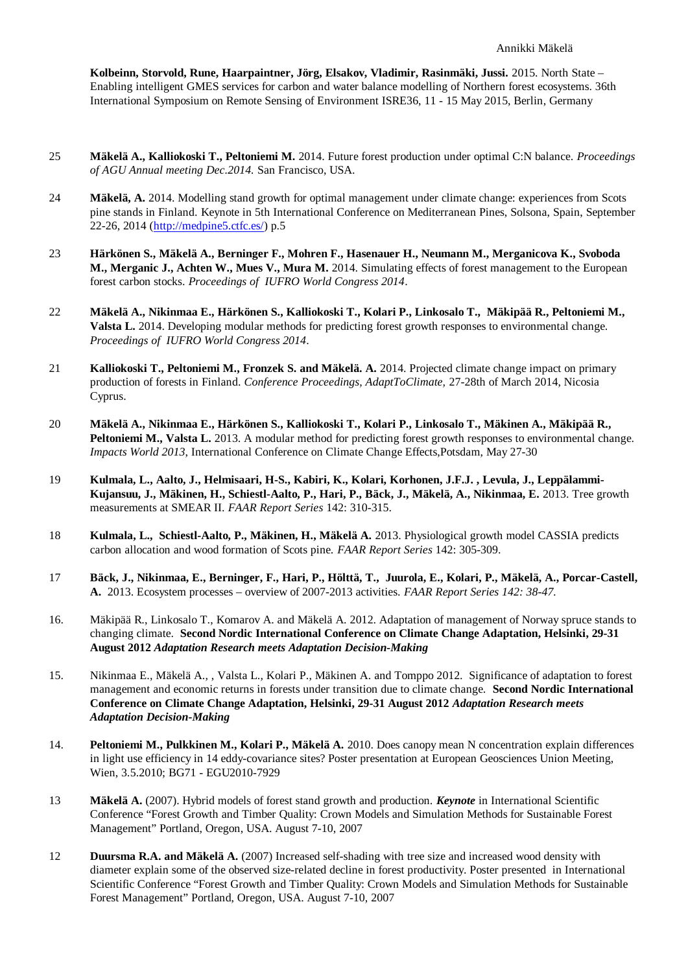**Kolbeinn, Storvold, Rune, Haarpaintner, Jörg, Elsakov, Vladimir, Rasinmäki, Jussi.** 2015. North State – Enabling intelligent GMES services for carbon and water balance modelling of Northern forest ecosystems. 36th International Symposium on Remote Sensing of Environment ISRE36, 11 - 15 May 2015, Berlin, Germany

- 25 **Mäkelä A., Kalliokoski T., Peltoniemi M.** 2014. Future forest production under optimal C:N balance. *Proceedings of AGU Annual meeting Dec.2014.* San Francisco, USA.
- 24 **Mäkelä, A.** 2014. Modelling stand growth for optimal management under climate change: experiences from Scots pine stands in Finland. Keynote in 5th International Conference on Mediterranean Pines, Solsona, Spain, September 22-26, 2014 (http://medpine5.ctfc.es/) p.5
- 23 **Härkönen S., Mäkelä A., Berninger F., Mohren F., Hasenauer H., Neumann M., Merganicova K., Svoboda M., Merganic J., Achten W., Mues V., Mura M.** 2014. Simulating effects of forest management to the European forest carbon stocks. *Proceedings of IUFRO World Congress 2014*.
- 22 **Mäkelä A., Nikinmaa E., Härkönen S., Kalliokoski T., Kolari P., Linkosalo T., Mäkipää R., Peltoniemi M., Valsta L.** 2014. Developing modular methods for predicting forest growth responses to environmental change. *Proceedings of IUFRO World Congress 2014*.
- 21 **Kalliokoski T., Peltoniemi M., Fronzek S. and Mäkelä. A.** 2014. Projected climate change impact on primary production of forests in Finland. *Conference Proceedings, AdaptToClimate,* 27-28th of March 2014, Nicosia Cyprus.
- 20 **Mäkelä A., Nikinmaa E., Härkönen S., Kalliokoski T., Kolari P., Linkosalo T., Mäkinen A., Mäkipää R., Peltoniemi M., Valsta L.** 2013. A modular method for predicting forest growth responses to environmental change. *Impacts World 2013*, International Conference on Climate Change Effects,Potsdam, May 27-30
- 19 **Kulmala, L., Aalto, J., Helmisaari, H-S., Kabiri, K., Kolari, Korhonen, J.F.J. , Levula, J., Leppälammi-Kujansuu, J., Mäkinen, H., Schiestl-Aalto, P., Hari, P., Bäck, J., Mäkelä, A., Nikinmaa, E.** 2013. Tree growth measurements at SMEAR II. *FAAR Report Series* 142: 310-315.
- 18 **Kulmala, L., Schiestl-Aalto, P., Mäkinen, H., Mäkelä A.** 2013. Physiological growth model CASSIA predicts carbon allocation and wood formation of Scots pine. *FAAR Report Series* 142: 305-309.
- 17 **Bäck, J., Nikinmaa, E., Berninger, F., Hari, P., Hölttä, T., Juurola, E., Kolari, P., Mäkelä, A., Porcar-Castell, A.** 2013. Ecosystem processes – overview of 2007-2013 activities. *FAAR Report Series 142: 38-47.*
- 16. Mäkipää R., Linkosalo T., Komarov A. and Mäkelä A. 2012. Adaptation of management of Norway spruce stands to changing climate. **Second Nordic International Conference on Climate Change Adaptation, Helsinki, 29-31 August 2012** *Adaptation Research meets Adaptation Decision-Making*
- 15. Nikinmaa E., Mäkelä A., , Valsta L., Kolari P., Mäkinen A. and Tomppo 2012. Significance of adaptation to forest management and economic returns in forests under transition due to climate change. **Second Nordic International Conference on Climate Change Adaptation, Helsinki, 29-31 August 2012** *Adaptation Research meets Adaptation Decision-Making*
- 14. **Peltoniemi M., Pulkkinen M., Kolari P., Mäkelä A.** 2010. Does canopy mean N concentration explain differences in light use efficiency in 14 eddy-covariance sites? Poster presentation at European Geosciences Union Meeting, Wien, 3.5.2010; BG71 - EGU2010-7929
- 13 **Mäkelä A.** (2007). Hybrid models of forest stand growth and production. *Keynote* in International Scientific Conference "Forest Growth and Timber Quality: Crown Models and Simulation Methods for Sustainable Forest Management" Portland, Oregon, USA. August 7-10, 2007
- 12 **Duursma R.A. and Mäkelä A.** (2007) Increased self-shading with tree size and increased wood density with diameter explain some of the observed size-related decline in forest productivity. Poster presented in International Scientific Conference "Forest Growth and Timber Quality: Crown Models and Simulation Methods for Sustainable Forest Management" Portland, Oregon, USA. August 7-10, 2007